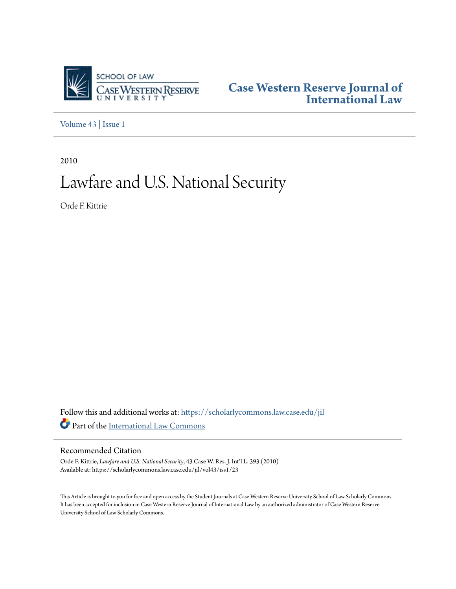

**[Case Western Reserve Journal of](https://scholarlycommons.law.case.edu/jil?utm_source=scholarlycommons.law.case.edu%2Fjil%2Fvol43%2Fiss1%2F23&utm_medium=PDF&utm_campaign=PDFCoverPages) [International Law](https://scholarlycommons.law.case.edu/jil?utm_source=scholarlycommons.law.case.edu%2Fjil%2Fvol43%2Fiss1%2F23&utm_medium=PDF&utm_campaign=PDFCoverPages)**

[Volume 43](https://scholarlycommons.law.case.edu/jil/vol43?utm_source=scholarlycommons.law.case.edu%2Fjil%2Fvol43%2Fiss1%2F23&utm_medium=PDF&utm_campaign=PDFCoverPages) | [Issue 1](https://scholarlycommons.law.case.edu/jil/vol43/iss1?utm_source=scholarlycommons.law.case.edu%2Fjil%2Fvol43%2Fiss1%2F23&utm_medium=PDF&utm_campaign=PDFCoverPages)

2010

# Lawfare and U.S. National Security

Orde F. Kittrie

Follow this and additional works at: [https://scholarlycommons.law.case.edu/jil](https://scholarlycommons.law.case.edu/jil?utm_source=scholarlycommons.law.case.edu%2Fjil%2Fvol43%2Fiss1%2F23&utm_medium=PDF&utm_campaign=PDFCoverPages) Part of the [International Law Commons](http://network.bepress.com/hgg/discipline/609?utm_source=scholarlycommons.law.case.edu%2Fjil%2Fvol43%2Fiss1%2F23&utm_medium=PDF&utm_campaign=PDFCoverPages)

# Recommended Citation

Orde F. Kittrie, *Lawfare and U.S. National Security*, 43 Case W. Res. J. Int'l L. 393 (2010) Available at: https://scholarlycommons.law.case.edu/jil/vol43/iss1/23

This Article is brought to you for free and open access by the Student Journals at Case Western Reserve University School of Law Scholarly Commons. It has been accepted for inclusion in Case Western Reserve Journal of International Law by an authorized administrator of Case Western Reserve University School of Law Scholarly Commons.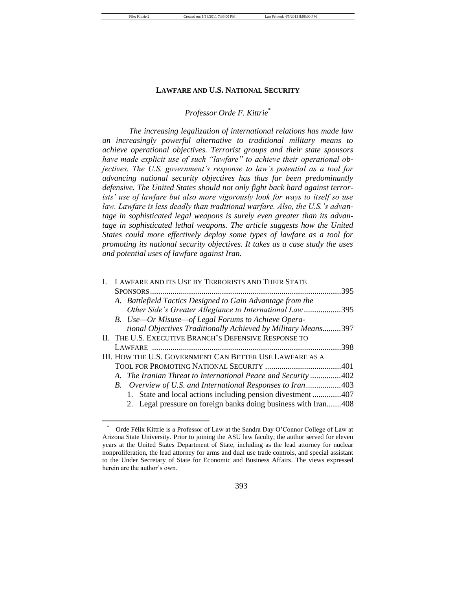#### **LAWFARE AND U.S. NATIONAL SECURITY**

# *Professor Orde F. Kittrie*\*

*The increasing legalization of international relations has made law an increasingly powerful alternative to traditional military means to achieve operational objectives. Terrorist groups and their state sponsors have made explicit use of such "lawfare" to achieve their operational objectives. The U.S. government's response to law's potential as a tool for advancing national security objectives has thus far been predominantly defensive. The United States should not only fight back hard against terrorists' use of lawfare but also more vigorously look for ways to itself so use law. Lawfare is less deadly than traditional warfare. Also, the U.S.'s advantage in sophisticated legal weapons is surely even greater than its advantage in sophisticated lethal weapons. The article suggests how the United States could more effectively deploy some types of lawfare as a tool for promoting its national security objectives. It takes as a case study the uses and potential uses of lawfare against Iran.*

| I. LAWFARE AND ITS USE BY TERRORISTS AND THEIR STATE           |      |
|----------------------------------------------------------------|------|
|                                                                | 395  |
| A. Battlefield Tactics Designed to Gain Advantage from the     |      |
| Other Side's Greater Allegiance to International Law395        |      |
| B. Use—Or Misuse—of Legal Forums to Achieve Opera-             |      |
| tional Objectives Traditionally Achieved by Military Means397  |      |
| II. THE U.S. EXECUTIVE BRANCH'S DEFENSIVE RESPONSE TO          |      |
|                                                                | .398 |
| III. HOW THE U.S. GOVERNMENT CAN BETTER USE LAWFARE AS A       |      |
|                                                                |      |
| A. The Iranian Threat to International Peace and Security402   |      |
| B. Overview of U.S. and International Responses to Iran403     |      |
| 1. State and local actions including pension divestment407     |      |
| 2. Legal pressure on foreign banks doing business with Iran408 |      |

Orde Félix Kittrie is a Professor of Law at the Sandra Day O'Connor College of Law at Arizona State University. Prior to joining the ASU law faculty, the author served for eleven years at the United States Department of State, including as the lead attorney for nuclear nonproliferation, the lead attorney for arms and dual use trade controls, and special assistant to the Under Secretary of State for Economic and Business Affairs. The views expressed herein are the author's own.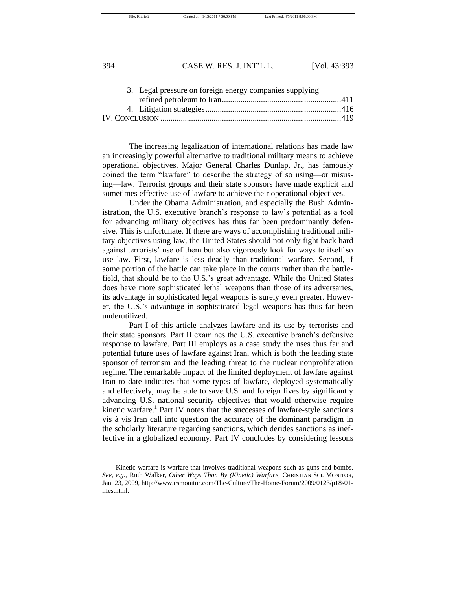File: Kittrie 2 Created on: 1/13/2011 7:36:00 PM Last Printed: 4/5/2011 8:08:00 PM

# 394 CASE W. RES. J. INT'L L. [Vol. 43:393

|  | 3. Legal pressure on foreign energy companies supplying |  |
|--|---------------------------------------------------------|--|
|  |                                                         |  |
|  |                                                         |  |
|  |                                                         |  |
|  |                                                         |  |

The increasing legalization of international relations has made law an increasingly powerful alternative to traditional military means to achieve operational objectives. Major General Charles Dunlap, Jr., has famously coined the term "lawfare" to describe the strategy of so using—or misusing—law. Terrorist groups and their state sponsors have made explicit and sometimes effective use of lawfare to achieve their operational objectives.

Under the Obama Administration, and especially the Bush Administration, the U.S. executive branch's response to law's potential as a tool for advancing military objectives has thus far been predominantly defensive. This is unfortunate. If there are ways of accomplishing traditional military objectives using law, the United States should not only fight back hard against terrorists' use of them but also vigorously look for ways to itself so use law. First, lawfare is less deadly than traditional warfare. Second, if some portion of the battle can take place in the courts rather than the battlefield, that should be to the U.S.'s great advantage. While the United States does have more sophisticated lethal weapons than those of its adversaries, its advantage in sophisticated legal weapons is surely even greater. However, the U.S.'s advantage in sophisticated legal weapons has thus far been underutilized.

Part I of this article analyzes lawfare and its use by terrorists and their state sponsors. Part II examines the U.S. executive branch's defensive response to lawfare. Part III employs as a case study the uses thus far and potential future uses of lawfare against Iran, which is both the leading state sponsor of terrorism and the leading threat to the nuclear nonproliferation regime. The remarkable impact of the limited deployment of lawfare against Iran to date indicates that some types of lawfare, deployed systematically and effectively, may be able to save U.S. and foreign lives by significantly advancing U.S. national security objectives that would otherwise require kinetic warfare.<sup>1</sup> Part IV notes that the successes of lawfare-style sanctions vis à vis Iran call into question the accuracy of the dominant paradigm in the scholarly literature regarding sanctions, which derides sanctions as ineffective in a globalized economy. Part IV concludes by considering lessons

<sup>&</sup>lt;sup>1</sup> Kinetic warfare is warfare that involves traditional weapons such as guns and bombs. *See, e.g.*, Ruth Walker, *Other Ways Than By (Kinetic) Warfare*, CHRISTIAN SCI. MONITOR, Jan. 23, 2009, http://www.csmonitor.com/The-Culture/The-Home-Forum/2009/0123/p18s01 hfes.html.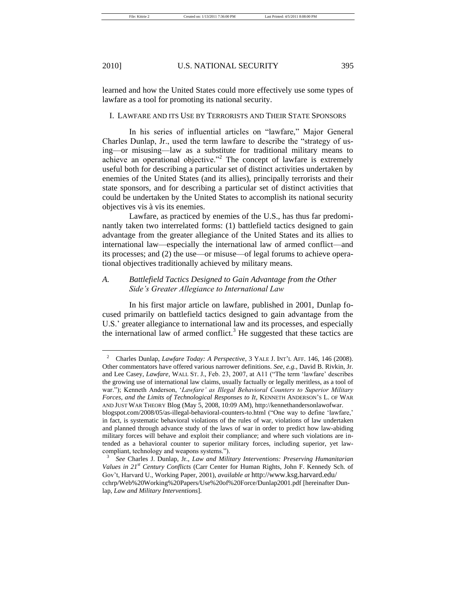learned and how the United States could more effectively use some types of lawfare as a tool for promoting its national security.

### I. LAWFARE AND ITS USE BY TERRORISTS AND THEIR STATE SPONSORS

In his series of influential articles on "lawfare," Major General Charles Dunlap, Jr., used the term lawfare to describe the "strategy of using—or misusing—law as a substitute for traditional military means to achieve an operational objective.<sup> $2$ </sup> The concept of lawfare is extremely useful both for describing a particular set of distinct activities undertaken by enemies of the United States (and its allies), principally terrorists and their state sponsors, and for describing a particular set of distinct activities that could be undertaken by the United States to accomplish its national security objectives vis à vis its enemies.

Lawfare, as practiced by enemies of the U.S., has thus far predominantly taken two interrelated forms: (1) battlefield tactics designed to gain advantage from the greater allegiance of the United States and its allies to international law—especially the international law of armed conflict—and its processes; and (2) the use—or misuse—of legal forums to achieve operational objectives traditionally achieved by military means.

# *A. Battlefield Tactics Designed to Gain Advantage from the Other Side's Greater Allegiance to International Law*

In his first major article on lawfare, published in 2001, Dunlap focused primarily on battlefield tactics designed to gain advantage from the U.S.' greater allegiance to international law and its processes, and especially the international law of armed conflict.<sup>3</sup> He suggested that these tactics are

<sup>2</sup> Charles Dunlap, *Lawfare Today: A Perspective*, 3 YALE J. INT'L AFF. 146, 146 (2008). Other commentators have offered various narrower definitions. *See, e.g.*, David B. Rivkin, Jr. and Lee Casey, *Lawfare*, WALL ST. J., Feb. 23, 2007, at A11 ("The term 'lawfare' describes the growing use of international law claims, usually factually or legally meritless, as a tool of war."); Kenneth Anderson, 'Lawfare' as Illegal Behavioral Counters to Superior Military *Forces, and the Limits of Technological Responses to It*, KENNETH ANDERSON'S L. OF WAR AND JUST WAR THEORY Blog (May 5, 2008, 10:09 AM), http://kennethandersonlawofwar. blogspot.com/2008/05/as-illegal-behavioral-counters-to.html ("One way to define 'lawfare,'

in fact, is systematic behavioral violations of the rules of war, violations of law undertaken and planned through advance study of the laws of war in order to predict how law-abiding military forces will behave and exploit their compliance; and where such violations are intended as a behavioral counter to superior military forces, including superior, yet lawcompliant, technology and weapons systems.").

<sup>3</sup> *See* Charles J. Dunlap, Jr., *Law and Military Interventions: Preserving Humanitarian Values in 21st Century Conflicts* (Carr Center for Human Rights, John F. Kennedy Sch. of Gov't, Harvard U., Working Paper, 2001), *available at* http://www.ksg.harvard.edu/ cchrp/Web%20Working%20Papers/Use%20of%20Force/Dunlap2001.pdf [hereinafter Dunlap, *Law and Military Interventions*].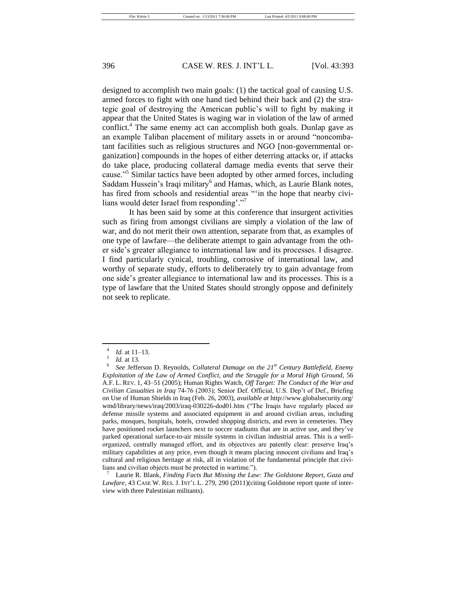designed to accomplish two main goals: (1) the tactical goal of causing U.S. armed forces to fight with one hand tied behind their back and (2) the strategic goal of destroying the American public's will to fight by making it appear that the United States is waging war in violation of the law of armed conflict.<sup>4</sup> The same enemy act can accomplish both goals. Dunlap gave as an example Taliban placement of military assets in or around "noncombatant facilities such as religious structures and NGO [non-governmental organization] compounds in the hopes of either deterring attacks or, if attacks do take place, producing collateral damage media events that serve their cause."<sup>5</sup> Similar tactics have been adopted by other armed forces, including Saddam Hussein's Iraqi military<sup>6</sup> and Hamas, which, as Laurie Blank notes, has fired from schools and residential areas "in the hope that nearby civilians would deter Israel from responding'."

It has been said by some at this conference that insurgent activities such as firing from amongst civilians are simply a violation of the law of war, and do not merit their own attention, separate from that, as examples of one type of lawfare—the deliberate attempt to gain advantage from the other side's greater allegiance to international law and its processes. I disagree. I find particularly cynical, troubling, corrosive of international law, and worthy of separate study, efforts to deliberately try to gain advantage from one side's greater allegiance to international law and its processes. This is a type of lawfare that the United States should strongly oppose and definitely not seek to replicate.

<sup>7</sup> Laurie R. Blank, *Finding Facts But Missing the Law: The Goldstone Report, Gaza and Lawfare*, 43 CASE W. RES. J. INT'L L. 279, 290 (2011)(citing Goldstone report quote of interview with three Palestinian militants).

<sup>4</sup> *Id.* at 11–13.

<sup>5</sup> *Id.* at 13.

<sup>6</sup> *See* Jefferson D. Reynolds, *Collateral Damage on the 21st Century Battlefield, Enemy Exploitation of the Law of Armed Conflict, and the Struggle for a Moral High Ground*, 56 A.F. L. REV. 1, 43–51 (2005); Human Rights Watch, *Off Target: The Conduct of the War and Civilian Casualties in Iraq* 74-76 (2003); Senior Def. Official, U.S. Dep't of Def., Briefing on Use of Human Shields in Iraq (Feb. 26, 2003), *available at* http://www.globalsecurity.org/ wmd/library/news/iraq/2003/iraq-030226-dod01.htm ("The Iraqis have regularly placed air defense missile systems and associated equipment in and around civilian areas, including parks, mosques, hospitals, hotels, crowded shopping districts, and even in cemeteries. They have positioned rocket launchers next to soccer stadiums that are in active use, and they've parked operational surface-to-air missile systems in civilian industrial areas. This is a wellorganized, centrally managed effort, and its objectives are patently clear: preserve Iraq's military capabilities at any price, even though it means placing innocent civilians and Iraq's cultural and religious heritage at risk, all in violation of the fundamental principle that civilians and civilian objects must be protected in wartime.").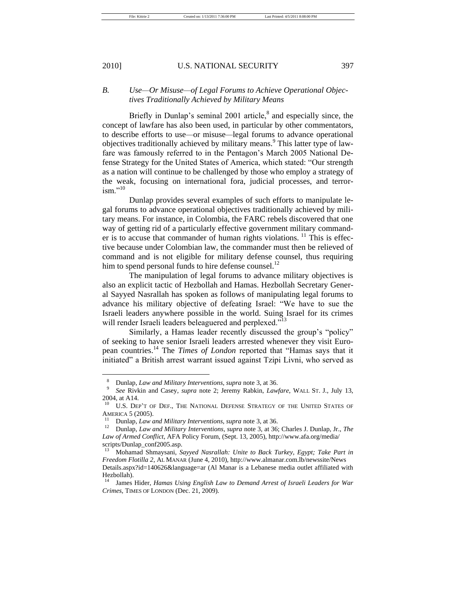File: Kittrie 2 Created on: 1/13/2011 7:36:00 PM Last Printed: 4/5/2011 8:08:00 PM

#### 2010] U.S. NATIONAL SECURITY 397

*B. Use—Or Misuse—of Legal Forums to Achieve Operational Objectives Traditionally Achieved by Military Means*

Briefly in Dunlap's seminal  $2001$  article,<sup>8</sup> and especially since, the concept of lawfare has also been used, in particular by other commentators, to describe efforts to use*—*or misuse*—*legal forums to advance operational objectives traditionally achieved by military means.<sup>9</sup> This latter type of lawfare was famously referred to in the Pentagon's March 2005 National Defense Strategy for the United States of America, which stated: "Our strength as a nation will continue to be challenged by those who employ a strategy of the weak, focusing on international fora, judicial processes, and terrorism $^{10}$ 

Dunlap provides several examples of such efforts to manipulate legal forums to advance operational objectives traditionally achieved by military means. For instance, in Colombia, the FARC rebels discovered that one way of getting rid of a particularly effective government military commander is to accuse that commander of human rights violations.  $\frac{11}{11}$  This is effective because under Colombian law, the commander must then be relieved of command and is not eligible for military defense counsel, thus requiring him to spend personal funds to hire defense counsel. $^{12}$ 

The manipulation of legal forums to advance military objectives is also an explicit tactic of Hezbollah and Hamas. Hezbollah Secretary General Sayyed Nasrallah has spoken as follows of manipulating legal forums to advance his military objective of defeating Israel: "We have to sue the Israeli leaders anywhere possible in the world. Suing Israel for its crimes will render Israeli leaders beleaguered and perplexed."<sup>13</sup>

Similarly, a Hamas leader recently discussed the group's "policy" of seeking to have senior Israeli leaders arrested whenever they visit European countries.<sup>14</sup> The *Times of London* reported that "Hamas says that it initiated" a British arrest warrant issued against Tzipi Livni, who served as

<sup>8</sup> Dunlap, *Law and Military Interventions*, *supra* note 3, at 36.

<sup>9</sup> *See* Rivkin and Casey, *supra* note 2; Jeremy Rabkin, *Lawfare*, WALL ST. J., July 13, 2004, at A14.

U.S. DEP'T OF DEF., THE NATIONAL DEFENSE STRATEGY OF THE UNITED STATES OF AMERICA 5 (2005).

<sup>&</sup>lt;sup>11</sup> Dunlap, *Law and Military Interventions, supra* note 3, at 36.<br><sup>12</sup> Dunlap *Law and Military Interventions, supra* note 3, at 36.

<sup>12</sup> Dunlap, *Law and Military Interventions, supra* note 3*,* at 36; Charles J. Dunlap, Jr., *The Law of Armed Conflict*, AFA Policy Forum, (Sept. 13, 2005), http://www.afa.org/media/ scripts/Dunlap\_conf2005.asp.

<sup>13</sup> Mohamad Shmaysani, *Sayyed Nasrallah: Unite to Back Turkey, Egypt; Take Part in Freedom Flotilla 2*, AL MANAR (June 4, 2010), http://www.almanar.com.lb/newssite/News Details.aspx?id=140626&language=ar (Al Manar is a Lebanese media outlet affiliated with Hezbollah).

<sup>14</sup> James Hider, *Hamas Using English Law to Demand Arrest of Israeli Leaders for War Crimes*, TIMES OF LONDON (Dec. 21, 2009).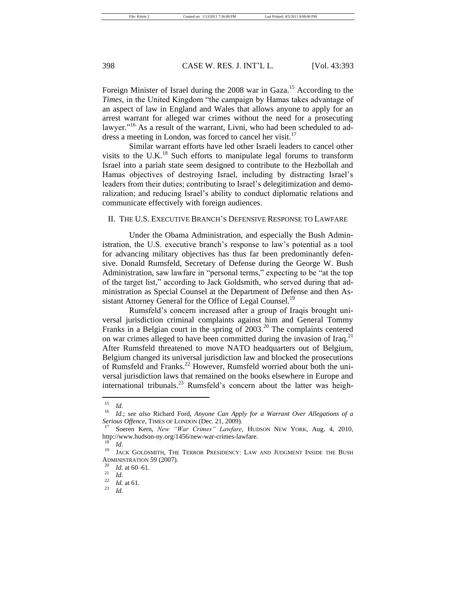Foreign Minister of Israel during the 2008 war in Gaza.<sup>15</sup> According to the *Times*, in the United Kingdom "the campaign by Hamas takes advantage of an aspect of law in England and Wales that allows anyone to apply for an arrest warrant for alleged war crimes without the need for a prosecuting lawyer."<sup>16</sup> As a result of the warrant, Livni, who had been scheduled to address a meeting in London, was forced to cancel her visit.<sup>17</sup>

Similar warrant efforts have led other Israeli leaders to cancel other visits to the U.K. $^{18}$  Such efforts to manipulate legal forums to transform Israel into a pariah state seem designed to contribute to the Hezbollah and Hamas objectives of destroying Israel, including by distracting Israel's leaders from their duties; contributing to Israel's delegitimization and demoralization; and reducing Israel's ability to conduct diplomatic relations and communicate effectively with foreign audiences.

### II. THE U.S. EXECUTIVE BRANCH'S DEFENSIVE RESPONSE TO LAWFARE

Under the Obama Administration, and especially the Bush Administration, the U.S. executive branch's response to law's potential as a tool for advancing military objectives has thus far been predominantly defensive. Donald Rumsfeld, Secretary of Defense during the George W. Bush Administration, saw lawfare in "personal terms," expecting to be "at the top of the target list," according to Jack Goldsmith, who served during that administration as Special Counsel at the Department of Defense and then Assistant Attorney General for the Office of Legal Counsel.<sup>19</sup>

Rumsfeld's concern increased after a group of Iraqis brought universal jurisdiction criminal complaints against him and General Tommy Franks in a Belgian court in the spring of  $2003<sup>20</sup>$ . The complaints centered on war crimes alleged to have been committed during the invasion of Iraq.<sup>21</sup> After Rumsfeld threatened to move NATO headquarters out of Belgium, Belgium changed its universal jurisdiction law and blocked the prosecutions of Rumsfeld and Franks.<sup>22</sup> However, Rumsfeld worried about both the universal jurisdiction laws that remained on the books elsewhere in Europe and international tribunals.<sup>23</sup> Rumsfeld's concern about the latter was heigh-

 $\frac{15}{16}$  *Id.* 

<sup>16</sup> *Id.*; *see also* Richard Ford, *Anyone Can Apply for a Warrant Over Allegations of a Serious Offence*, TIMES OF LONDON (Dec. 21, 2009).

<sup>17</sup> Soeren Kern, *New "War Crimes" Lawfare*, HUDSON NEW YORK, Aug. 4, 2010, http://www.hudson-ny.org/1456/new-war-crimes-lawfare.

 $\frac{18}{19}$  *Id.* 

JACK GOLDSMITH, THE TERROR PRESIDENCY: LAW AND JUDGMENT INSIDE THE BUSH ADMINISTRATION 59 (2007).

 $\frac{20}{21}$  *Id.* at 60–61.

 $\frac{21}{22}$  *Id.* 

 $\frac{22}{23}$  *Id.* at 61.

<sup>23</sup> *Id.*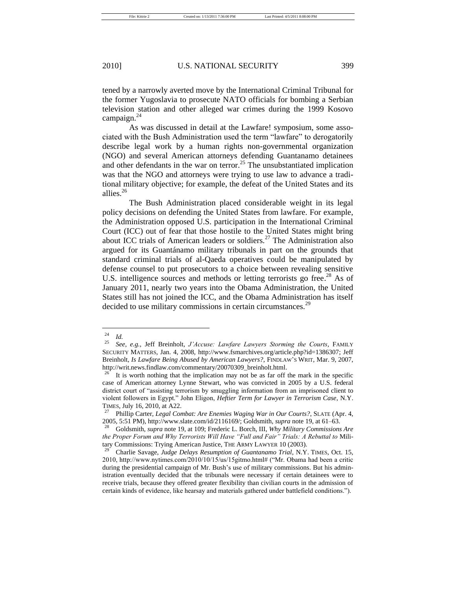tened by a narrowly averted move by the International Criminal Tribunal for the former Yugoslavia to prosecute NATO officials for bombing a Serbian television station and other alleged war crimes during the 1999 Kosovo campaign. $^{24}$ 

As was discussed in detail at the Lawfare! symposium, some associated with the Bush Administration used the term "lawfare" to derogatorily describe legal work by a human rights non-governmental organization (NGO) and several American attorneys defending Guantanamo detainees and other defendants in the war on terror.<sup>25</sup> The unsubstantiated implication was that the NGO and attorneys were trying to use law to advance a traditional military objective; for example, the defeat of the United States and its allies.<sup>26</sup>

The Bush Administration placed considerable weight in its legal policy decisions on defending the United States from lawfare. For example, the Administration opposed U.S. participation in the International Criminal Court (ICC) out of fear that those hostile to the United States might bring about ICC trials of American leaders or soldiers.<sup>27</sup> The Administration also argued for its Guantánamo military tribunals in part on the grounds that standard criminal trials of al-Qaeda operatives could be manipulated by defense counsel to put prosecutors to a choice between revealing sensitive U.S. intelligence sources and methods or letting terrorists go free.<sup>28</sup> As of January 2011, nearly two years into the Obama Administration, the United States still has not joined the ICC, and the Obama Administration has itself decided to use military commissions in certain circumstances.<sup>29</sup>

 $\frac{24}{25}$  *Id.* 

<sup>25</sup> *See, e.g.*, Jeff Breinholt, *J'Accuse: Lawfare Lawyers Storming the Courts*, FAMILY SECURITY MATTERS, Jan. 4, 2008, http://www.fsmarchives.org/article.php?id=1386307; Jeff Breinholt*, Is Lawfare Being Abused by American Lawyers?*, FINDLAW'S WRIT, Mar. 9, 2007, http://writ.news.findlaw.com/commentary/20070309\_breinholt.html.

It is worth nothing that the implication may not be as far off the mark in the specific case of American attorney Lynne Stewart, who was convicted in 2005 by a U.S. federal district court of "assisting terrorism by smuggling information from an imprisoned client to violent followers in Egypt.‖ John Eligon, *Heftier Term for Lawyer in Terrorism Case*, N.Y. TIMES, July 16, 2010, at A22.

<sup>27</sup> Phillip Carter, *Legal Combat: Are Enemies Waging War in Our Courts?*, SLATE (Apr. 4, 2005, 5:51 PM), http://www.slate.com/id/2116169/; Goldsmith, *supra* note 19, at 61–63.

<sup>28</sup> Goldsmith, *supra* note 19, at 109; Frederic L. Borch, III, *Why Military Commissions Are the Proper Forum and Why Terrorists Will Have "Full and Fair" Trials: A Rebuttal to* Military Commissions: Trying American Justice, THE ARMY LAWYER 10 (2003).

<sup>29</sup> Charlie Savage, *Judge Delays Resumption of Guantanamo Trial*, N.Y. TIMES, Oct. 15, 2010, http://www.nytimes.com/2010/10/15/us/15gitmo.html# ("Mr. Obama had been a critic during the presidential campaign of Mr. Bush's use of military commissions. But his administration eventually decided that the tribunals were necessary if certain detainees were to receive trials, because they offered greater flexibility than civilian courts in the admission of certain kinds of evidence, like hearsay and materials gathered under battlefield conditions.").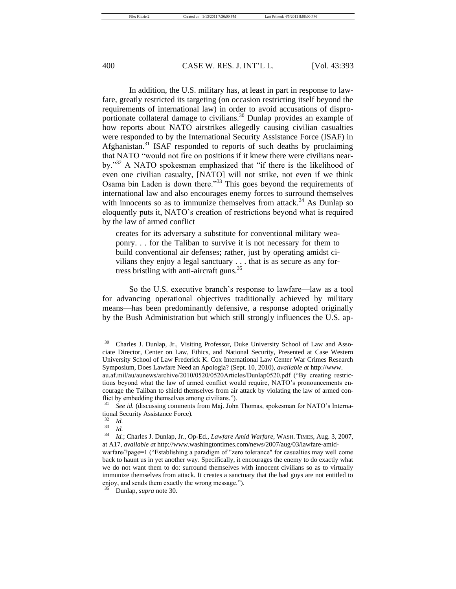In addition, the U.S. military has, at least in part in response to lawfare, greatly restricted its targeting (on occasion restricting itself beyond the requirements of international law) in order to avoid accusations of disproportionate collateral damage to civilians.<sup>30</sup> Dunlap provides an example of how reports about NATO airstrikes allegedly causing civilian casualties were responded to by the International Security Assistance Force (ISAF) in Afghanistan.<sup>31</sup> ISAF responded to reports of such deaths by proclaiming that NATO "would not fire on positions if it knew there were civilians nearby."<sup>32</sup> A NATO spokesman emphasized that "if there is the likelihood of even one civilian casualty, [NATO] will not strike, not even if we think Osama bin Laden is down there."<sup>33</sup> This goes beyond the requirements of international law and also encourages enemy forces to surround themselves with innocents so as to immunize themselves from attack.<sup>34</sup> As Dunlap so eloquently puts it, NATO's creation of restrictions beyond what is required by the law of armed conflict

creates for its adversary a substitute for conventional military weaponry. . . for the Taliban to survive it is not necessary for them to build conventional air defenses; rather, just by operating amidst civilians they enjoy a legal sanctuary . . . that is as secure as any fortress bristling with anti-aircraft guns.<sup>35</sup>

So the U.S. executive branch's response to lawfare—law as a tool for advancing operational objectives traditionally achieved by military means—has been predominantly defensive, a response adopted originally by the Bush Administration but which still strongly influences the U.S. ap-

<sup>30</sup> Charles J. Dunlap, Jr., Visiting Professor, Duke University School of Law and Associate Director, Center on Law, Ethics, and National Security, Presented at Case Western University School of Law Frederick K. Cox International Law Center War Crimes Research Symposium, Does Lawfare Need an Apologia? (Sept. 10, 2010), *available at* http://www.

au.af.mil/au/aunews/archive/2010/0520/0520Articles/Dunlap0520.pdf ("By creating restrictions beyond what the law of armed conflict would require, NATO's pronouncements encourage the Taliban to shield themselves from air attack by violating the law of armed conflict by embedding themselves among civilians.").

See id. (discussing comments from Maj. John Thomas, spokesman for NATO's International Security Assistance Force)*.*

 $rac{32}{33}$  *Id.* 

 $rac{33}{34}$  *Id.* 

<sup>34</sup> *Id.*; Charles J. Dunlap, Jr., Op-Ed., *Lawfare Amid Warfare*, WASH. TIMES, Aug. 3, 2007, at A17, *available at* http://www.washingtontimes.com/news/2007/aug/03/lawfare-amid-

warfare/?page=1 ("Establishing a paradigm of "zero tolerance" for casualties may well come back to haunt us in yet another way. Specifically, it encourages the enemy to do exactly what we do not want them to do: surround themselves with innocent civilians so as to virtually immunize themselves from attack. It creates a sanctuary that the bad guys are not entitled to enjoy, and sends them exactly the wrong message.").

<sup>35</sup> Dunlap, *supra* note 30.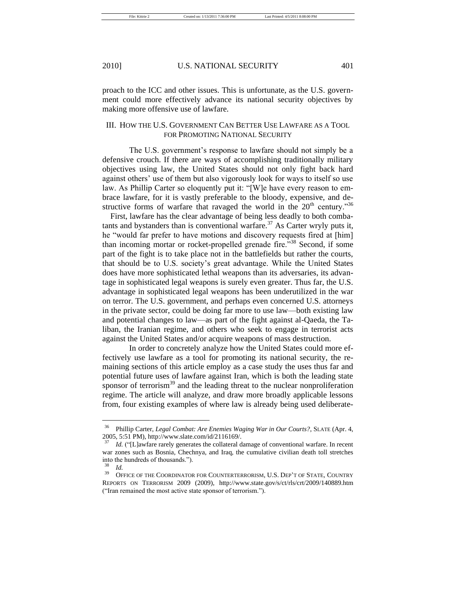proach to the ICC and other issues. This is unfortunate, as the U.S. government could more effectively advance its national security objectives by making more offensive use of lawfare.

# III. HOW THE U.S. GOVERNMENT CAN BETTER USE LAWFARE AS A TOOL FOR PROMOTING NATIONAL SECURITY

The U.S. government's response to lawfare should not simply be a defensive crouch. If there are ways of accomplishing traditionally military objectives using law, the United States should not only fight back hard against others' use of them but also vigorously look for ways to itself so use law. As Phillip Carter so eloquently put it: "[W]e have every reason to embrace lawfare, for it is vastly preferable to the bloody, expensive, and destructive forms of warfare that ravaged the world in the  $20<sup>th</sup>$  century.<sup>356</sup>

First, lawfare has the clear advantage of being less deadly to both combatants and bystanders than is conventional warfare.<sup>37</sup> As Carter wryly puts it, he "would far prefer to have motions and discovery requests fired at [him] than incoming mortar or rocket-propelled grenade fire.<sup>338</sup> Second, if some part of the fight is to take place not in the battlefields but rather the courts, that should be to U.S. society's great advantage. While the United States does have more sophisticated lethal weapons than its adversaries, its advantage in sophisticated legal weapons is surely even greater. Thus far, the U.S. advantage in sophisticated legal weapons has been underutilized in the war on terror. The U.S. government, and perhaps even concerned U.S. attorneys in the private sector, could be doing far more to use law—both existing law and potential changes to law—as part of the fight against al-Qaeda, the Taliban, the Iranian regime, and others who seek to engage in terrorist acts against the United States and/or acquire weapons of mass destruction.

In order to concretely analyze how the United States could more effectively use lawfare as a tool for promoting its national security, the remaining sections of this article employ as a case study the uses thus far and potential future uses of lawfare against Iran, which is both the leading state sponsor of terrorism $39$  and the leading threat to the nuclear nonproliferation regime. The article will analyze, and draw more broadly applicable lessons from, four existing examples of where law is already being used deliberate-

<sup>36</sup> Phillip Carter, *Legal Combat: Are Enemies Waging War in Our Courts?*, SLATE (Apr. 4, 2005, 5:51 PM), http://www.slate.com/id/2116169/.

Id. ("[L]awfare rarely generates the collateral damage of conventional warfare. In recent war zones such as Bosnia, Chechnya, and Iraq, the cumulative civilian death toll stretches into the hundreds of thousands.").

 $rac{38}{39}$  *Id.* 

OFFICE OF THE COORDINATOR FOR COUNTERTERRORISM, U.S. DEP'T OF STATE, COUNTRY REPORTS ON TERRORISM 2009 (2009), http://www.state.gov/s/ct/rls/crt/2009/140889.htm ("Iran remained the most active state sponsor of terrorism.").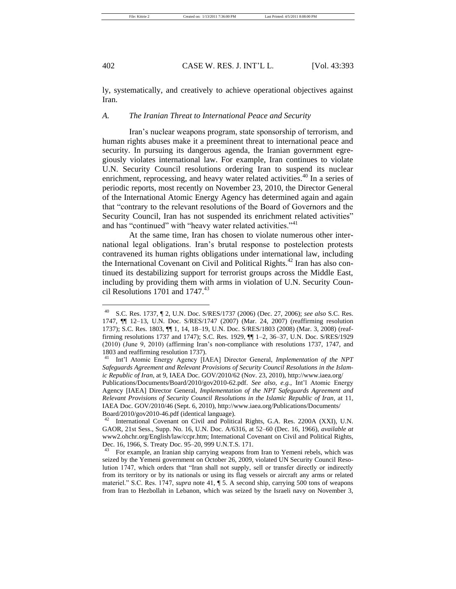ly, systematically, and creatively to achieve operational objectives against Iran.

## *A. The Iranian Threat to International Peace and Security*

Iran's nuclear weapons program, state sponsorship of terrorism, and human rights abuses make it a preeminent threat to international peace and security. In pursuing its dangerous agenda, the Iranian government egregiously violates international law. For example, Iran continues to violate U.N. Security Council resolutions ordering Iran to suspend its nuclear enrichment, reprocessing, and heavy water related activities.<sup>40</sup> In a series of periodic reports, most recently on November 23, 2010, the Director General of the International Atomic Energy Agency has determined again and again that "contrary to the relevant resolutions of the Board of Governors and the Security Council, Iran has not suspended its enrichment related activities" and has "continued" with "heavy water related activities." $41$ 

At the same time, Iran has chosen to violate numerous other international legal obligations. Iran's brutal response to postelection protests contravened its human rights obligations under international law, including the International Covenant on Civil and Political Rights.<sup>42</sup> Iran has also continued its destabilizing support for terrorist groups across the Middle East, including by providing them with arms in violation of U.N. Security Council Resolutions 1701 and  $1747<sup>43</sup>$ 

<sup>40</sup> S.C. Res. 1737, ¶ 2, U.N. Doc. S/RES/1737 (2006) (Dec. 27, 2006); *see also* S.C. Res. 1747, ¶¶ 12–13, U.N. Doc. S/RES/1747 (2007) (Mar. 24, 2007) (reaffirming resolution 1737); S.C. Res. 1803, ¶¶ 1, 14, 18–19, U.N. Doc. S/RES/1803 (2008) (Mar. 3, 2008) (reaffirming resolutions 1737 and 1747); S.C. Res. 1929, ¶¶ 1–2, 36–37, U.N. Doc. S/RES/1929 (2010) (June 9, 2010) (affirming Iran's non-compliance with resolutions 1737, 1747, and 1803 and reaffirming resolution 1737).

<sup>41</sup> Int'l Atomic Energy Agency [IAEA] Director General, *Implementation of the NPT Safeguards Agreement and Relevant Provisions of Security Council Resolutions in the Islamic Republic of Iran*, at 9, IAEA Doc. GOV/2010/62 (Nov. 23, 2010)[, http://www.iaea.org/](http://www.iaea.org/) Publications/Documents/Board/2010/gov2010-62.pdf. *See also, e.g.*, Int'l Atomic Energy Agency [IAEA] Director General, *Implementation of the NPT Safeguards Agreement and Relevant Provisions of Security Council Resolutions in the Islamic Republic of Iran*, at 11, IAEA Doc. GOV/2010/46 (Sept. 6, 2010), http://www.iaea.org/Publications/Documents/ Board/2010/gov2010-46.pdf (identical language).

International Covenant on Civil and Political Rights, G.A. Res. 2200A (XXI), U.N. GAOR, 21st Sess., Supp. No. 16, U.N. Doc. A/6316, at 52–60 (Dec. 16, 1966), *available at* www2.ohchr.org/English/law/ccpr.htm; International Covenant on Civil and Political Rights, Dec. 16, 1966, S. Treaty Doc. 95–20, 999 U.N.T.S. 171.

<sup>43</sup> For example, an Iranian ship carrying weapons from Iran to Yemeni rebels, which was seized by the Yemeni government on October 26, 2009, violated UN Security Council Resolution 1747, which orders that "Iran shall not supply, sell or transfer directly or indirectly from its territory or by its nationals or using its flag vessels or aircraft any arms or related materiel." S.C. Res. 1747, *supra* note 41,  $\sqrt{ }$  5. A second ship, carrying 500 tons of weapons from Iran to Hezbollah in Lebanon, which was seized by the Israeli navy on November 3,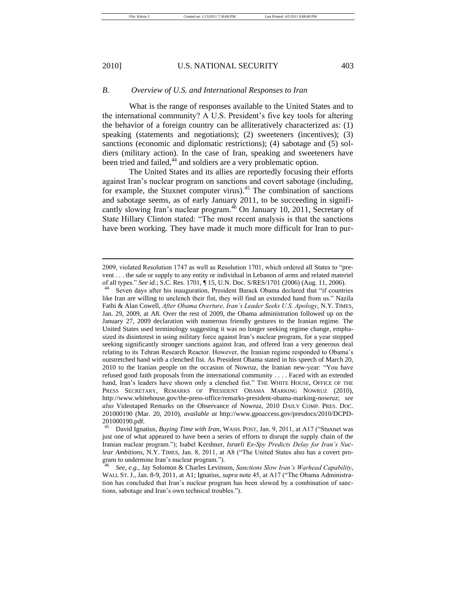# *B. Overview of U.S. and International Responses to Iran*

What is the range of responses available to the United States and to the international community? A U.S. President's five key tools for altering the behavior of a foreign country can be alliteratively characterized as: (1) speaking (statements and negotiations); (2) sweeteners (incentives); (3) sanctions (economic and diplomatic restrictions); (4) sabotage and (5) soldiers (military action). In the case of Iran, speaking and sweeteners have been tried and failed,<sup>44</sup> and soldiers are a very problematic option.

The United States and its allies are reportedly focusing their efforts against Iran's nuclear program on sanctions and covert sabotage (including, for example, the Stuxnet computer virus).<sup>45</sup> The combination of sanctions and sabotage seems, as of early January 2011, to be succeeding in significantly slowing Iran's nuclear program.<sup>46</sup> On January 10, 2011, Secretary of State Hillary Clinton stated: "The most recent analysis is that the sanctions have been working. They have made it much more difficult for Iran to pur-

 $2009$ , violated Resolution 1747 as well as Resolution 1701, which ordered all States to "prevent . . . the sale or supply to any entity or individual in Lebanon of arms and related materiel of all types.‖ *See id.*; S.C. Res. 1701, ¶ 15, U.N. Doc. S/RES/1701 (2006) (Aug. 11, 2006).

Seven days after his inauguration, President Barack Obama declared that "if countries like Iran are willing to unclench their fist, they will find an extended hand from us." Nazila Fathi & Alan Cowell, *After Obama Overture, Iran's Leader Seeks U.S. Apology*, N.Y. TIMES, Jan. 29, 2009, at A8. Over the rest of 2009, the Obama administration followed up on the January 27, 2009 declaration with numerous friendly gestures to the Iranian regime. The United States used terminology suggesting it was no longer seeking regime change, emphasized its disinterest in using military force against Iran's nuclear program, for a year stopped seeking significantly stronger sanctions against Iran, and offered Iran a very generous deal relating to its Tehran Research Reactor. However, the Iranian regime responded to Obama's outstretched hand with a clenched fist. As President Obama stated in his speech of March 20, 2010 to the Iranian people on the occasion of Nowruz, the Iranian new-year: "You have refused good faith proposals from the international community . . . . Faced with an extended hand, Iran's leaders have shown only a clenched fist." THE WHITE HOUSE, OFFICE OF THE PRESS SECRETARY, REMARKS OF PRESIDENT OBAMA MARKING NOWRUZ (2010), http://www.whitehouse.gov/the-press-office/remarks-president-obama-marking-nowruz; *see also* Videotaped Remarks on the Observance of Nowruz, 2010 DAILY COMP. PRES. DOC. 201000190 (Mar. 20, 2010), *available at* http://www.gpoaccess.gov/presdocs/2010/DCPD-201000190.pdf.

David Ignatius, *Buying Time with Iran*, WASH. POST, Jan. 9, 2011, at A17 ("Stuxnet was just one of what appeared to have been a series of efforts to disrupt the supply chain of the Iranian nuclear program."); Isabel Kershner, *Israeli Ex-Spy Predicts Delay for Iran's Nuclear Ambitions*, N.Y. TIMES, Jan. 8, 2011, at A8 ("The United States also has a covert program to undermine Iran's nuclear program.").

<sup>46</sup> *See, e.g.*, Jay Solomon & Charles Levinson, *Sanctions Slow Iran's Warhead Capability*, WALL ST. J., Jan. 8-9, 2011, at A1; Ignatius, *supra* note 45, at A17 ("The Obama Administration has concluded that Iran's nuclear program has been slowed by a combination of sanctions, sabotage and Iran's own technical troubles.").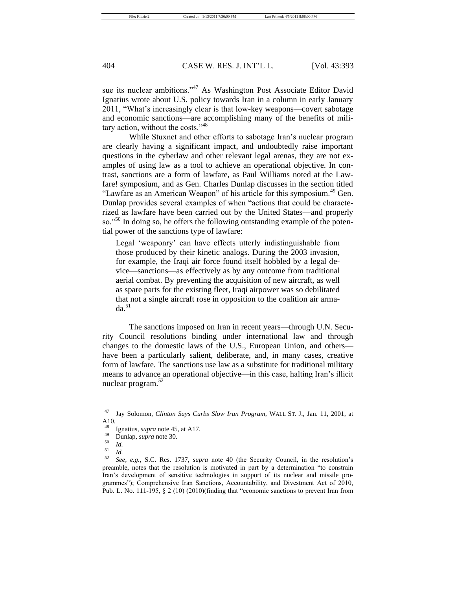sue its nuclear ambitions."<sup>47</sup> As Washington Post Associate Editor David Ignatius wrote about U.S. policy towards Iran in a column in early January 2011, "What's increasingly clear is that low-key weapons—covert sabotage and economic sanctions—are accomplishing many of the benefits of military action, without the costs."<sup>48</sup>

While Stuxnet and other efforts to sabotage Iran's nuclear program are clearly having a significant impact, and undoubtedly raise important questions in the cyberlaw and other relevant legal arenas, they are not examples of using law as a tool to achieve an operational objective. In contrast, sanctions are a form of lawfare, as Paul Williams noted at the Lawfare! symposium, and as Gen. Charles Dunlap discusses in the section titled "Lawfare as an American Weapon" of his article for this symposium.<sup>49</sup> Gen. Dunlap provides several examples of when "actions that could be characterized as lawfare have been carried out by the United States—and properly so."<sup>50</sup> In doing so, he offers the following outstanding example of the potential power of the sanctions type of lawfare:

Legal 'weaponry' can have effects utterly indistinguishable from those produced by their kinetic analogs. During the 2003 invasion, for example, the Iraqi air force found itself hobbled by a legal device—sanctions—as effectively as by any outcome from traditional aerial combat. By preventing the acquisition of new aircraft, as well as spare parts for the existing fleet, Iraqi airpower was so debilitated that not a single aircraft rose in opposition to the coalition air arma $da^{51}$ 

The sanctions imposed on Iran in recent years—through U.N. Security Council resolutions binding under international law and through changes to the domestic laws of the U.S., European Union, and others have been a particularly salient, deliberate, and, in many cases, creative form of lawfare. The sanctions use law as a substitute for traditional military means to advance an operational objective—in this case, halting Iran's illicit nuclear program. $52$ 

<sup>47</sup> Jay Solomon, *Clinton Says Curbs Slow Iran Program*, WALL ST. J., Jan. 11, 2001, at A10.

 $^{48}$  Ignatius, *supra* note 45, at A17.

<sup>49</sup> Dunlap, *supra* note 30.

 $\frac{50}{51}$  *Id.* 

 $\frac{51}{52}$  *Id.* 

<sup>52</sup> *See, e.g.*, S.C. Res. 1737, *supra* note 40 (the Security Council, in the resolution's preamble, notes that the resolution is motivated in part by a determination "to constrain Iran's development of sensitive technologies in support of its nuclear and missile programmes"); Comprehensive Iran Sanctions, Accountability, and Divestment Act of 2010, Pub. L. No. 111-195,  $\S 2$  (10) (2010)(finding that "economic sanctions to prevent Iran from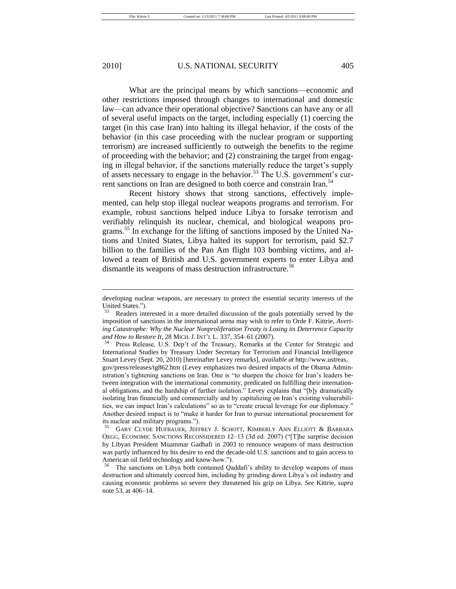What are the principal means by which sanctions—economic and other restrictions imposed through changes to international and domestic law—can advance their operational objective? Sanctions can have any or all of several useful impacts on the target, including especially (1) coercing the target (in this case Iran) into halting its illegal behavior, if the costs of the behavior (in this case proceeding with the nuclear program or supporting terrorism) are increased sufficiently to outweigh the benefits to the regime of proceeding with the behavior; and (2) constraining the target from engaging in illegal behavior, if the sanctions materially reduce the target's supply of assets necessary to engage in the behavior.<sup>53</sup> The U.S. government's current sanctions on Iran are designed to both coerce and constrain Iran.<sup>54</sup>

Recent history shows that strong sanctions, effectively implemented, can help stop illegal nuclear weapons programs and terrorism. For example, robust sanctions helped induce Libya to forsake terrorism and verifiably relinquish its nuclear, chemical, and biological weapons programs.<sup>55</sup> In exchange for the lifting of sanctions imposed by the United Nations and United States, Libya halted its support for terrorism, paid \$2.7 billion to the families of the Pan Am flight 103 bombing victims, and allowed a team of British and U.S. government experts to enter Libya and dismantle its weapons of mass destruction infrastructure.<sup>56</sup>

<sup>54</sup> Press Release, U.S. Dep't of the Treasury, Remarks at the Center for Strategic and International Studies by Treasury Under Secretary for Terrorism and Financial Intelligence Stuart Levey (Sept. 20, 2010) [hereinafter Levey remarks], *available at* http://www.ustreas.

gov/press/releases/tg862.htm (Levey emphasizes two desired impacts of the Obama Administration's tightening sanctions on Iran. One is "to sharpen the choice for Iran's leaders between integration with the international community, predicated on fulfilling their international obligations, and the hardship of further isolation." Levey explains that " $[b]$ y dramatically isolating Iran financially and commercially and by capitalizing on Iran's existing vulnerabilities, we can impact Iran's calculations" so as to "create crucial leverage for our diplomacy." Another desired impact is to "make it harder for Iran to pursue international procurement for its nuclear and military programs.").

developing nuclear weapons, are necessary to protect the essential security interests of the United States.").

<sup>53</sup> Readers interested in a more detailed discussion of the goals potentially served by the imposition of sanctions in the international arena may wish to refer to Orde F. Kittrie, *Averting Catastrophe: Why the Nuclear Nonproliferation Treaty is Losing its Deterrence Capacity and How to Restore It*, 28 MICH.J. INT'L L. 337, 354–61 (2007).

<sup>55</sup> GARY CLYDE HUFBAUER, JEFFREY J. SCHOTT, KIMBERLY ANN ELLIOTT & BARBARA OEGG, ECONOMIC SANCTIONS RECONSIDERED 12-13 (3d ed. 2007) ("[T]he surprise decision by Libyan President Muammar Gadhafi in 2003 to renounce weapons of mass destruction was partly influenced by his desire to end the decade-old U.S. sanctions and to gain access to American oil field technology and know-how.").

The sanctions on Libya both contained Qaddafi's ability to develop weapons of mass destruction and ultimately coerced him, including by grinding down Libya's oil industry and causing economic problems so severe they threatened his grip on Libya. *See* Kittrie, *supra* note 53, at 406–14.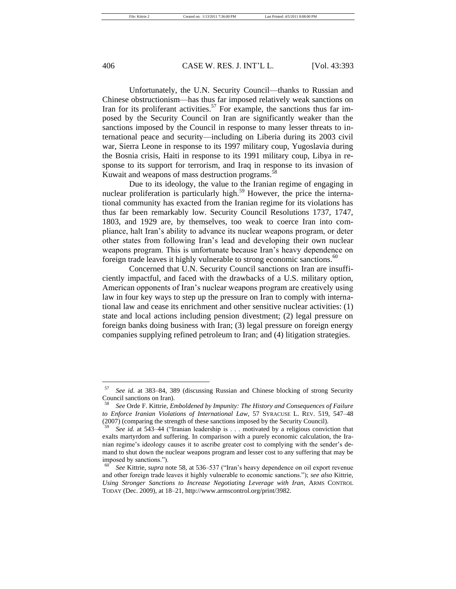Unfortunately, the U.N. Security Council—thanks to Russian and Chinese obstructionism—has thus far imposed relatively weak sanctions on Iran for its proliferant activities.<sup>57</sup> For example, the sanctions thus far imposed by the Security Council on Iran are significantly weaker than the sanctions imposed by the Council in response to many lesser threats to international peace and security—including on Liberia during its 2003 civil war, Sierra Leone in response to its 1997 military coup, Yugoslavia during the Bosnia crisis, Haiti in response to its 1991 military coup, Libya in response to its support for terrorism, and Iraq in response to its invasion of Kuwait and weapons of mass destruction programs.<sup>58</sup>

Due to its ideology, the value to the Iranian regime of engaging in nuclear proliferation is particularly high.<sup>59</sup> However, the price the international community has exacted from the Iranian regime for its violations has thus far been remarkably low. Security Council Resolutions 1737, 1747, 1803, and 1929 are, by themselves, too weak to coerce Iran into compliance, halt Iran's ability to advance its nuclear weapons program, or deter other states from following Iran's lead and developing their own nuclear weapons program. This is unfortunate because Iran's heavy dependence on foreign trade leaves it highly vulnerable to strong economic sanctions.<sup>60</sup>

Concerned that U.N. Security Council sanctions on Iran are insufficiently impactful, and faced with the drawbacks of a U.S. military option, American opponents of Iran's nuclear weapons program are creatively using law in four key ways to step up the pressure on Iran to comply with international law and cease its enrichment and other sensitive nuclear activities: (1) state and local actions including pension divestment; (2) legal pressure on foreign banks doing business with Iran; (3) legal pressure on foreign energy companies supplying refined petroleum to Iran; and (4) litigation strategies.

<sup>57</sup> *See id.* at 383–84, 389 (discussing Russian and Chinese blocking of strong Security Council sanctions on Iran).

<sup>58</sup> *See* Orde F. Kittrie, *Emboldened by Impunity: The History and Consequences of Failure to Enforce Iranian Violations of International Law*, 57 SYRACUSE L. REV. 519, 547–48 (2007) (comparing the strength of these sanctions imposed by the Security Council).

See id. at 543-44 ("Iranian leadership is . . . motivated by a religious conviction that exalts martyrdom and suffering. In comparison with a purely economic calculation, the Iranian regime's ideology causes it to ascribe greater cost to complying with the sender's demand to shut down the nuclear weapons program and lesser cost to any suffering that may be imposed by sanctions.").

See Kittrie, *supra* note 58, at 536–537 ("Iran's heavy dependence on oil export revenue and other foreign trade leaves it highly vulnerable to economic sanctions.‖); *see also* Kittrie, *Using Stronger Sanctions to Increase Negotiating Leverage with Iran*, ARMS CONTROL TODAY (Dec. 2009), at 18–21, http://www.armscontrol.org/print/3982.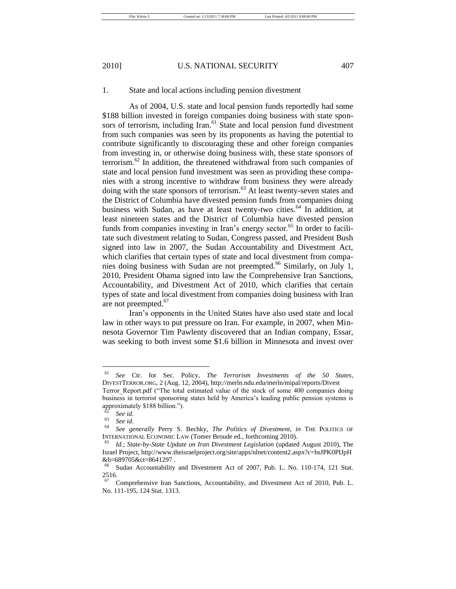#### 1. State and local actions including pension divestment

As of 2004, U.S. state and local pension funds reportedly had some \$188 billion invested in foreign companies doing business with state sponsors of terrorism, including Iran.<sup>61</sup> State and local pension fund divestment from such companies was seen by its proponents as having the potential to contribute significantly to discouraging these and other foreign companies from investing in, or otherwise doing business with, these state sponsors of terrorism.<sup>62</sup> In addition, the threatened withdrawal from such companies of state and local pension fund investment was seen as providing these companies with a strong incentive to withdraw from business they were already doing with the state sponsors of terrorism.<sup>63</sup> At least twenty-seven states and the District of Columbia have divested pension funds from companies doing business with Sudan, as have at least twenty-two cities.<sup>64</sup> In addition, at least nineteen states and the District of Columbia have divested pension funds from companies investing in Iran's energy sector.<sup>65</sup> In order to facilitate such divestment relating to Sudan, Congress passed, and President Bush signed into law in 2007, the Sudan Accountability and Divestment Act, which clarifies that certain types of state and local divestment from companies doing business with Sudan are not preempted.<sup>66</sup> Similarly, on July 1, 2010, President Obama signed into law the Comprehensive Iran Sanctions, Accountability, and Divestment Act of 2010, which clarifies that certain types of state and local divestment from companies doing business with Iran are not preempted. $67$ 

Iran's opponents in the United States have also used state and local law in other ways to put pressure on Iran. For example, in 2007, when Minnesota Governor Tim Pawlenty discovered that an Indian company, Essar, was seeking to both invest some \$1.6 billion in Minnesota and invest over

<sup>61</sup> *See* Ctr. for Sec. Policy, *The Terrorism Investments of the 50 States*, DIVESTTERROR.ORG, 2 (Aug. 12, 2004), http://merln.ndu.edu/merln/mipal/reports/Divest

Terror Report.pdf ("The total estimated value of the stock of some 400 companies doing business in terrorist sponsoring states held by America's leading public pension systems is approximately \$188 billion.").

 $\frac{62}{63}$  *See id.* 

<sup>63</sup> *See id*.

<sup>64</sup> *See generally* Perry S. Bechky, *The Politics of Divestment*, *in* THE POLITICS OF INTERNATIONAL ECONOMIC LAW (Tomer Broude ed., forthcoming 2010).

<sup>65</sup> *Id.*; *State-by-State Update on Iran Divestment Legislation* (updated August 2010), The Israel Project, http://www.theisraelproject.org/site/apps/nlnet/content2.aspx?c=hsJPK0PIJpH  $&\text{b=689705}\&\text{ct=8641297}.$ 

Sudan Accountability and Divestment Act of 2007, Pub. L. No. 110-174, 121 Stat. 2516.

Comprehensive Iran Sanctions, Accountability, and Divestment Act of 2010, Pub. L. No. 111-195, 124 Stat. 1313.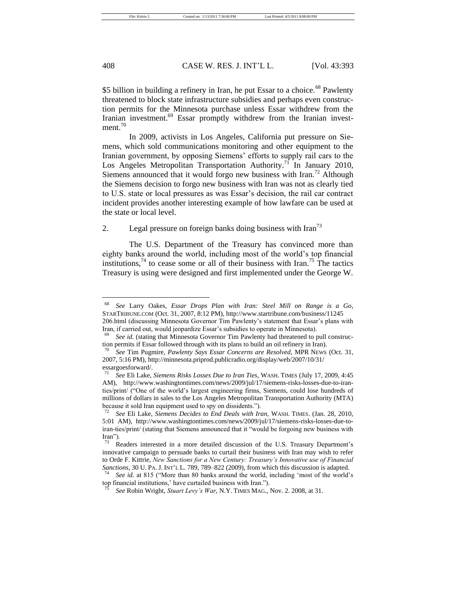\$5 billion in building a refinery in Iran, he put Essar to a choice.<sup>68</sup> Pawlenty threatened to block state infrastructure subsidies and perhaps even construction permits for the Minnesota purchase unless Essar withdrew from the Iranian investment.<sup>69</sup> Essar promptly withdrew from the Iranian investment.<sup>70</sup>

In 2009, activists in Los Angeles, California put pressure on Siemens, which sold communications monitoring and other equipment to the Iranian government, by opposing Siemens' efforts to supply rail cars to the Los Angeles Metropolitan Transportation Authority.<sup>71</sup> In January 2010, Siemens announced that it would forgo new business with  $\text{Iran.}^{72}$  Although the Siemens decision to forgo new business with Iran was not as clearly tied to U.S. state or local pressures as was Essar's decision, the rail car contract incident provides another interesting example of how lawfare can be used at the state or local level.

# 2. Legal pressure on foreign banks doing business with  $\text{Iran}^{73}$

The U.S. Department of the Treasury has convinced more than eighty banks around the world, including most of the world's top financial institutions,<sup>74</sup> to cease some or all of their business with Iran.<sup>75</sup> The tactics Treasury is using were designed and first implemented under the George W.

<sup>68</sup> *See* Larry Oakes, *Essar Drops Plan with Iran: Steel Mill on Range is a Go*, STARTRIBUNE.COM (Oct. 31, 2007, 8:12 PM), http://www.startribune.com/business/11245 206.html (discussing Minnesota Governor Tim Pawlenty's statement that Essar's plans with Iran, if carried out, would jeopardize Essar's subsidies to operate in Minnesota).

<sup>69</sup> *See id.* (stating that Minnesota Governor Tim Pawlenty had threatened to pull construction permits if Essar followed through with its plans to build an oil refinery in Iran).

<sup>70</sup> *See* Tim Pugmire, *Pawlenty Says Essar Concerns are Resolved*, MPR NEWS (Oct. 31, 2007, 5:16 PM), http://minnesota.priprod.publicradio.org/display/web/2007/10/31/ essargoesforward/.

<sup>71</sup> *See* Eli Lake, *Siemens Risks Losses Due to Iran Ties*, WASH. TIMES (July 17, 2009, 4:45 AM), http://www.washingtontimes.com/news/2009/jul/17/siemens-risks-losses-due-to-iranties/print/ ("One of the world's largest engineering firms, Siemens, could lose hundreds of millions of dollars in sales to the Los Angeles Metropolitan Transportation Authority (MTA) because it sold Iran equipment used to spy on dissidents.").

<sup>72</sup> *See* Eli Lake, *Siemens Decides to End Deals with Iran*, WASH. TIMES. (Jan. 28, 2010, 5:01 AM), http://www.washingtontimes.com/news/2009/jul/17/siemens-risks-losses-due-toiran-ties/print/ (stating that Siemens announced that it "would be forgoing new business with Iran").

Readers interested in a more detailed discussion of the U.S. Treasury Department's innovative campaign to persuade banks to curtail their business with Iran may wish to refer to Orde F. Kittrie, *New Sanctions for a New Century: Treasury's Innovative use of Financial Sanctions*, 30 U. PA. J. INT'L L. 789, 789–822 (2009), from which this discussion is adapted.

<sup>&</sup>lt;sup>74</sup> *See id.* at 815 ("More than 80 banks around the world, including 'most of the world's top financial institutions,' have curtailed business with Iran.").

<sup>75</sup> *See* Robin Wright, *Stuart Levy's War*, N.Y. TIMES MAG., Nov. 2. 2008, at 31.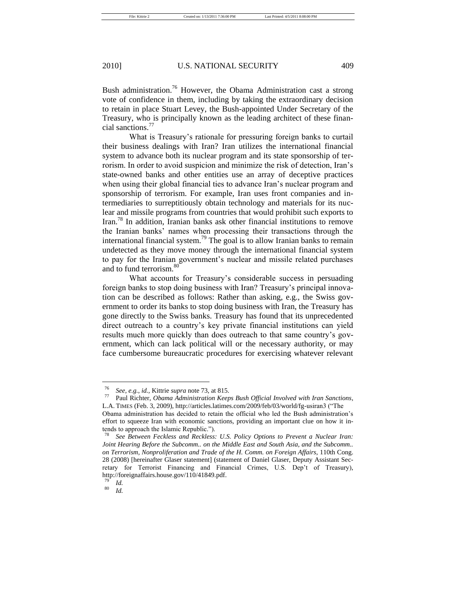Bush administration.<sup>76</sup> However, the Obama Administration cast a strong vote of confidence in them, including by taking the extraordinary decision to retain in place Stuart Levey, the Bush-appointed Under Secretary of the Treasury, who is principally known as the leading architect of these financial sanctions.<sup>77</sup>

What is Treasury's rationale for pressuring foreign banks to curtail their business dealings with Iran? Iran utilizes the international financial system to advance both its nuclear program and its state sponsorship of terrorism. In order to avoid suspicion and minimize the risk of detection, Iran's state-owned banks and other entities use an array of deceptive practices when using their global financial ties to advance Iran's nuclear program and sponsorship of terrorism. For example, Iran uses front companies and intermediaries to surreptitiously obtain technology and materials for its nuclear and missile programs from countries that would prohibit such exports to Iran.<sup>78</sup> In addition, Iranian banks ask other financial institutions to remove the Iranian banks' names when processing their transactions through the international financial system.<sup>79</sup> The goal is to allow Iranian banks to remain undetected as they move money through the international financial system to pay for the Iranian government's nuclear and missile related purchases and to fund terrorism.<sup>80</sup>

What accounts for Treasury's considerable success in persuading foreign banks to stop doing business with Iran? Treasury's principal innovation can be described as follows: Rather than asking, e.g., the Swiss government to order its banks to stop doing business with Iran, the Treasury has gone directly to the Swiss banks. Treasury has found that its unprecedented direct outreach to a country's key private financial institutions can yield results much more quickly than does outreach to that same country's government, which can lack political will or the necessary authority, or may face cumbersome bureaucratic procedures for exercising whatever relevant

<sup>76</sup> *See, e.g.*, *id.,* Kittrie *supra* note 73, at 815.

<sup>77</sup> Paul Richter, *Obama Administration Keeps Bush Official Involved with Iran Sanctions*, L.A. TIMES (Feb. 3, 2009), http://articles.latimes.com/2009/feb/03/world/fg-usiran3 ("The

Obama administration has decided to retain the official who led the Bush administration's effort to squeeze Iran with economic sanctions, providing an important clue on how it intends to approach the Islamic Republic.").

See Between Feckless and Reckless: U.S. Policy Options to Prevent a Nuclear Iran: *Joint Hearing Before the Subcomm.. on the Middle East and South Asia, and the Subcomm.. on Terrorism, Nonproliferation and Trade of the H. Comm. on Foreign Affairs*, 110th Cong. 28 (2008) [hereinafter Glaser statement] (statement of Daniel Glaser, Deputy Assistant Secretary for Terrorist Financing and Financial Crimes, U.S. Dep't of Treasury), http://foreignaffairs.house.gov/110/41849.pdf.

 $\frac{79}{80}$  *Id.* 

<sup>80</sup> *Id.*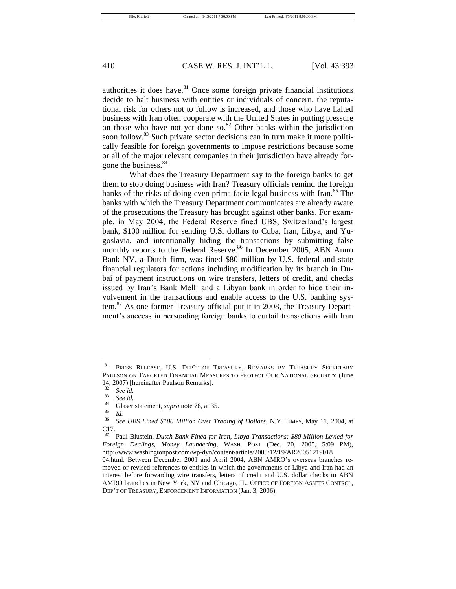authorities it does have. $81$  Once some foreign private financial institutions decide to halt business with entities or individuals of concern, the reputational risk for others not to follow is increased, and those who have halted business with Iran often cooperate with the United States in putting pressure on those who have not yet done so. $82$  Other banks within the jurisdiction soon follow.<sup>83</sup> Such private sector decisions can in turn make it more politically feasible for foreign governments to impose restrictions because some or all of the major relevant companies in their jurisdiction have already forgone the business.<sup>84</sup>

What does the Treasury Department say to the foreign banks to get them to stop doing business with Iran? Treasury officials remind the foreign banks of the risks of doing even prima facie legal business with Iran.<sup>85</sup> The banks with which the Treasury Department communicates are already aware of the prosecutions the Treasury has brought against other banks. For example, in May 2004, the Federal Reserve fined UBS, Switzerland's largest bank, \$100 million for sending U.S. dollars to Cuba, Iran, Libya, and Yugoslavia, and intentionally hiding the transactions by submitting false monthly reports to the Federal Reserve.<sup>86</sup> In December 2005, ABN Amro Bank NV, a Dutch firm, was fined \$80 million by U.S. federal and state financial regulators for actions including modification by its branch in Dubai of payment instructions on wire transfers, letters of credit, and checks issued by Iran's Bank Melli and a Libyan bank in order to hide their involvement in the transactions and enable access to the U.S. banking system.<sup>87</sup> As one former Treasury official put it in 2008, the Treasury Department's success in persuading foreign banks to curtail transactions with Iran

410 CASE W. RES. J. INT'L L. [Vol. 43:393

<sup>81</sup> PRESS RELEASE, U.S. DEP'T OF TREASURY, REMARKS BY TREASURY SECRETARY PAULSON ON TARGETED FINANCIAL MEASURES TO PROTECT OUR NATIONAL SECURITY (June 14, 2007) [hereinafter Paulson Remarks].

<sup>82</sup> *See id*.

 $\frac{83}{84}$  *See id.* 

<sup>&</sup>lt;sup>84</sup> Glaser statement, *supra* note 78, at 35.

 $rac{85}{86}$  *Id.* 

<sup>86</sup> *See UBS Fined \$100 Million Over Trading of Dollars*, N.Y. TIMES, May 11, 2004, at  $C_{87}$ <sup>17</sup>.

<sup>87</sup> Paul Blustein, *Dutch Bank Fined for Iran, Libya Transactions: \$80 Million Levied for Foreign Dealings, Money Laundering*, WASH. POST (Dec. 20, 2005, 5:09 PM), http://www.washingtonpost.com/wp-dyn/content/article/2005/12/19/AR20051219018

<sup>04.</sup>html. Between December 2001 and April 2004, ABN AMRO's overseas branches removed or revised references to entities in which the governments of Libya and Iran had an interest before forwarding wire transfers, letters of credit and U.S. dollar checks to ABN AMRO branches in New York, NY and Chicago, IL. OFFICE OF FOREIGN ASSETS CONTROL, DEP'T OF TREASURY, ENFORCEMENT INFORMATION (Jan. 3, 2006).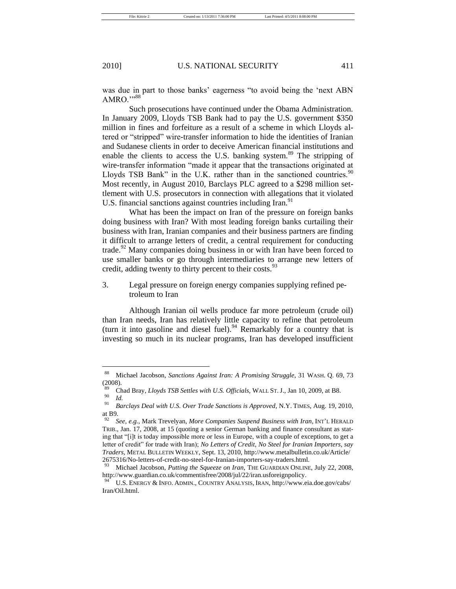File: Kittrie 2 Created on: 1/13/2011 7:36:00 PM Last Printed: 4/5/2011 8:08:00 PM

was due in part to those banks' eagerness "to avoid being the 'next ABN AMRO."<sup>88</sup>

Such prosecutions have continued under the Obama Administration. In January 2009, Lloyds TSB Bank had to pay the U.S. government \$350 million in fines and forfeiture as a result of a scheme in which Lloyds altered or "stripped" wire-transfer information to hide the identities of Iranian and Sudanese clients in order to deceive American financial institutions and enable the clients to access the U.S. banking system.<sup>89</sup> The stripping of wire-transfer information "made it appear that the transactions originated at Lloyds TSB Bank" in the U.K. rather than in the sanctioned countries.  $90$ Most recently, in August 2010, Barclays PLC agreed to a \$298 million settlement with U.S. prosecutors in connection with allegations that it violated U.S. financial sanctions against countries including Iran.<sup>91</sup>

What has been the impact on Iran of the pressure on foreign banks doing business with Iran? With most leading foreign banks curtailing their business with Iran, Iranian companies and their business partners are finding it difficult to arrange letters of credit, a central requirement for conducting trade.<sup>92</sup> Many companies doing business in or with Iran have been forced to use smaller banks or go through intermediaries to arrange new letters of credit, adding twenty to thirty percent to their costs.<sup>93</sup>

3. Legal pressure on foreign energy companies supplying refined petroleum to Iran

Although Iranian oil wells produce far more petroleum (crude oil) than Iran needs, Iran has relatively little capacity to refine that petroleum (turn it into gasoline and diesel fuel).<sup>94</sup> Remarkably for a country that is investing so much in its nuclear programs, Iran has developed insufficient

<sup>88</sup> Michael Jacobson, *Sanctions Against Iran: A Promising Struggle*, 31 WASH. Q. 69, 73 (2008).

<sup>&</sup>lt;sup>89</sup> Chad Bray, *Lloyds TSB Settles with U.S. Officials*, WALL ST. J., Jan 10, 2009, at B8.  $\frac{90}{91}$  *Id.* 

<sup>91</sup> *Barclays Deal with U.S. Over Trade Sanctions is Approved*, N.Y. TIMES, Aug. 19, 2010, at B9.

<sup>92</sup> *See, e.g.*, Mark Trevelyan, *More Companies Suspend Business with Iran*, INT'L HERALD TRIB., Jan. 17, 2008, at 15 (quoting a senior German banking and finance consultant as stating that "[i]t is today impossible more or less in Europe, with a couple of exceptions, to get a letter of credit" for trade with Iran); *No Letters of Credit, No Steel for Iranian Importers, say Traders,* METAL BULLETIN WEEKLY, Sept. 13, 2010, http://www.metalbulletin.co.uk/Article/ 2675316/No-letters-of-credit-no-steel-for-Iranian-importers-say-traders.html.

<sup>93</sup> Michael Jacobson, *Putting the Squeeze on Iran*, THE GUARDIAN ONLINE, July 22, 2008, http://www.guardian.co.uk/commentisfree/2008/jul/22/iran.usforeignpolicy.

U.S. ENERGY & INFO. ADMIN., COUNTRY ANALYSIS, IRAN, http://www.eia.doe.gov/cabs/ Iran/Oil.html.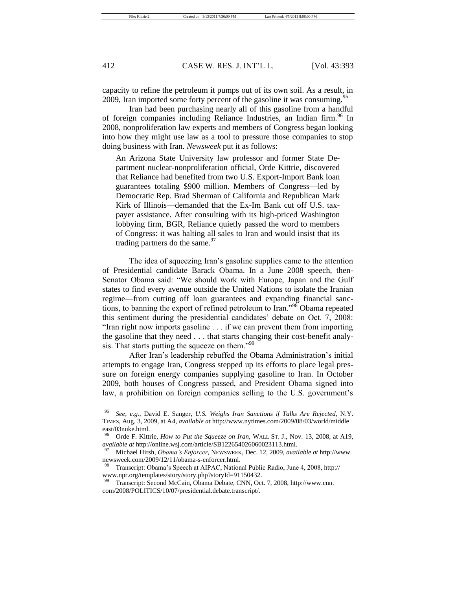capacity to refine the petroleum it pumps out of its own soil. As a result, in 2009, Iran imported some forty percent of the gasoline it was consuming.<sup>95</sup>

Iran had been purchasing nearly all of this gasoline from a handful of foreign companies including Reliance Industries, an Indian firm.<sup>96</sup> In 2008, nonproliferation law experts and members of Congress began looking into how they might use law as a tool to pressure those companies to stop doing business with Iran. *Newsweek* put it as follows:

An Arizona State University law professor and former State Department nuclear-nonproliferation official, Orde Kittrie, discovered that Reliance had benefited from two U.S. Export-Import Bank loan guarantees totaling \$900 million. Members of Congress—led by Democratic Rep. Brad Sherman of California and Republican Mark Kirk of Illinois—demanded that the Ex-Im Bank cut off U.S. taxpayer assistance. After consulting with its high-priced Washington lobbying firm, BGR, Reliance quietly passed the word to members of Congress: it was halting all sales to Iran and would insist that its trading partners do the same. $^{97}$ 

The idea of squeezing Iran's gasoline supplies came to the attention of Presidential candidate Barack Obama. In a June 2008 speech, then-Senator Obama said: "We should work with Europe, Japan and the Gulf states to find every avenue outside the United Nations to isolate the Iranian regime—from cutting off loan guarantees and expanding financial sanctions, to banning the export of refined petroleum to  $\hat{I}$ ran."<sup>98</sup> Obama repeated this sentiment during the presidential candidates' debate on Oct. 7, 2008: "Iran right now imports gasoline . . . if we can prevent them from importing the gasoline that they need . . . that starts changing their cost-benefit analysis. That starts putting the squeeze on them."<sup>99</sup>

After Iran's leadership rebuffed the Obama Administration's initial attempts to engage Iran, Congress stepped up its efforts to place legal pressure on foreign energy companies supplying gasoline to Iran. In October 2009, both houses of Congress passed, and President Obama signed into law, a prohibition on foreign companies selling to the U.S. government's

<sup>95</sup> *See, e.g.*, David E. Sanger, *U.S. Weighs Iran Sanctions if Talks Are Rejected,* N.Y. TIMES, Aug. 3, 2009, at A4, *available at* http://www.nytimes.com/2009/08/03/world/middle east/03nuke.html.

<sup>96</sup> Orde F. Kittrie, *How to Put the Squeeze on Iran,* WALL ST. J., Nov. 13, 2008, at A19, *available at* http://online.wsj.com/article/SB122654026060023113.html.

<sup>97</sup> Michael Hirsh, *Obama's Enforcer*, NEWSWEEK, Dec. 12, 2009, *available at* http://www. newsweek.com/2009/12/11/obama-s-enforcer.html.

<sup>98</sup> Transcript: Obama's Speech at AIPAC, National Public Radio, June 4, 2008, http:// www.npr.org/templates/story/story.php?storyId=91150432.

Transcript: Second McCain, Obama Debate, CNN, Oct. 7, 2008, http://www.cnn. com/2008/POLITICS/10/07/presidential.debate.transcript/.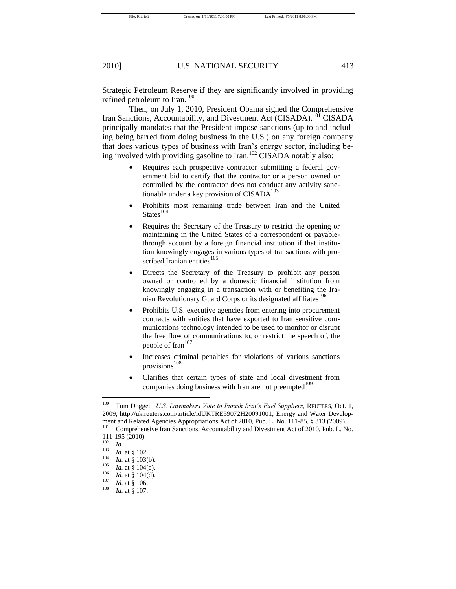Strategic Petroleum Reserve if they are significantly involved in providing refined petroleum to Iran.<sup>100</sup>

Then, on July 1, 2010, President Obama signed the Comprehensive Iran Sanctions, Accountability, and Divestment Act (CISADA).<sup>101</sup> CISADA principally mandates that the President impose sanctions (up to and including being barred from doing business in the U.S.) on any foreign company that does various types of business with Iran's energy sector, including being involved with providing gasoline to Iran.<sup>102</sup> CISADA notably also:

- Requires each prospective contractor submitting a federal government bid to certify that the contractor or a person owned or controlled by the contractor does not conduct any activity sanctionable under a key provision of  $CISADA<sup>103</sup>$
- Prohibits most remaining trade between Iran and the United  $States<sup>104</sup>$
- Requires the Secretary of the Treasury to restrict the opening or maintaining in the United States of a correspondent or payablethrough account by a foreign financial institution if that institution knowingly engages in various types of transactions with proscribed Iranian entities<sup>105</sup>
- Directs the Secretary of the Treasury to prohibit any person owned or controlled by a domestic financial institution from knowingly engaging in a transaction with or benefiting the Iranian Revolutionary Guard Corps or its designated affiliates<sup>106</sup>
- Prohibits U.S. executive agencies from entering into procurement contracts with entities that have exported to Iran sensitive communications technology intended to be used to monitor or disrupt the free flow of communications to, or restrict the speech of, the people of Iran<sup>107</sup>
- Increases criminal penalties for violations of various sanctions provisions<sup>108</sup>
- Clarifies that certain types of state and local divestment from companies doing business with Iran are not preempted $109$

<sup>100</sup> Tom Doggett, *U.S. Lawmakers Vote to Punish Iran's Fuel Suppliers*, REUTERS, Oct. 1, 2009, http://uk.reuters.com/article/idUKTRE59072H20091001; Energy and Water Development and Related Agencies Appropriations Act of 2010, Pub. L. No. 111-85, § 313 (2009).<br><sup>101</sup> Comprehensive Iran Sanctions, Accountability and Divestment Act of 2010, Pub. J. N Comprehensive Iran Sanctions, Accountability and Divestment Act of 2010, Pub. L. No.

<sup>111-195 (2010).</sup>

<sup>102</sup> *Id.*

 $\frac{103}{104}$  *Id.* at § 102.

 $\frac{104}{105}$  *Id.* at § 103(b).

 $\frac{105}{106}$  *Id.* at § 104(c).

 $\frac{106}{107}$  *Id.* at § 104(d).

 $\frac{107}{108}$  *Id.* at § 106.

*Id.* at § 107.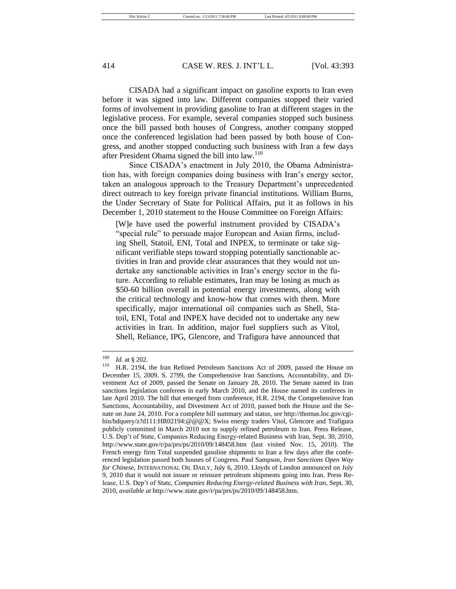CISADA had a significant impact on gasoline exports to Iran even before it was signed into law. Different companies stopped their varied forms of involvement in providing gasoline to Iran at different stages in the legislative process. For example, several companies stopped such business once the bill passed both houses of Congress, another company stopped once the conferenced legislation had been passed by both house of Congress, and another stopped conducting such business with Iran a few days after President Obama signed the bill into law.<sup>110</sup>

Since CISADA's enactment in July 2010, the Obama Administration has, with foreign companies doing business with Iran's energy sector, taken an analogous approach to the Treasury Department's unprecedented direct outreach to key foreign private financial institutions. William Burns, the Under Secretary of State for Political Affairs, put it as follows in his December 1, 2010 statement to the House Committee on Foreign Affairs:

[W]e have used the powerful instrument provided by CISADA's "special rule" to persuade major European and Asian firms, including Shell, Statoil, ENI, Total and INPEX, to terminate or take significant verifiable steps toward stopping potentially sanctionable activities in Iran and provide clear assurances that they would not undertake any sanctionable activities in Iran's energy sector in the future. According to reliable estimates, Iran may be losing as much as \$50-60 billion overall in potential energy investments, along with the critical technology and know-how that comes with them. More specifically, major international oil companies such as Shell, Statoil, ENI, Total and INPEX have decided not to undertake any new activities in Iran. In addition, major fuel suppliers such as Vitol, Shell, Reliance, IPG, Glencore, and Trafigura have announced that

 $\frac{109}{110}$  *Id.* at § 202.

H.R. 2194, the Iran Refined Petroleum Sanctions Act of 2009, passed the House on December 15, 2009. S. 2799, the Comprehensive Iran Sanctions, Accountability, and Divestment Act of 2009, passed the Senate on January 28, 2010. The Senate named its Iran sanctions legislation conferees in early March 2010, and the House named its conferees in late April 2010. The bill that emerged from conference, H.R. 2194, the Comprehensive Iran Sanctions, Accountability, and Divestment Act of 2010, passed both the House and the Senate on June 24, 2010. For a complete bill summary and status, *see* http://thomas.loc.gov/cgibin/bdquery/z?d111:HR02194:@@@X; Swiss energy traders Vitol, Glencore and Trafigura publicly committed in March 2010 not to supply refined petroleum to Iran. Press Release, U.S. Dep't of State, Companies Reducing Energy-related Business with Iran, Sept. 30, 2010, http://www.state.gov/r/pa/prs/ps/2010/09/148458.htm (last visited Nov. 15, 2010). The French energy firm Total suspended gasoline shipments to Iran a few days after the conferenced legislation passed both houses of Congress. Paul Sampson, *Iran Sanctions Open Way for Chinese*, INTERNATIONAL OIL DAILY, July 6, 2010. Lloyds of London announced on July 9, 2010 that it would not insure or reinsure petroleum shipments going into Iran. Press Release, U.S. Dep't of State, *Companies Reducing Energy-related Business with Iran*, Sept. 30, 2010, *available at* http://www.state.gov/r/pa/prs/ps/2010/09/148458.htm.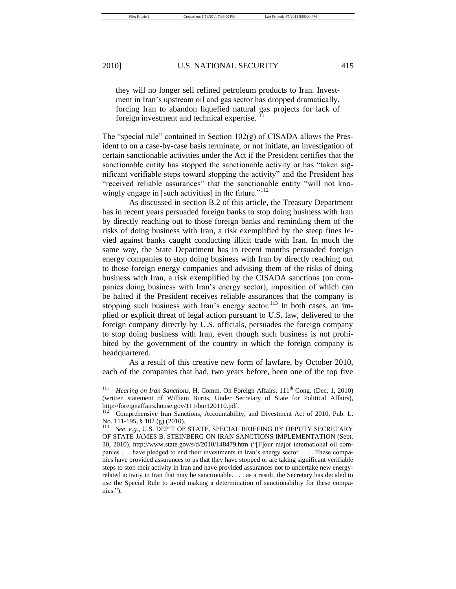they will no longer sell refined petroleum products to Iran. Investment in Iran's upstream oil and gas sector has dropped dramatically, forcing Iran to abandon liquefied natural gas projects for lack of foreign investment and technical expertise.<sup>111</sup>

The "special rule" contained in Section  $102(g)$  of CISADA allows the President to on a case-by-case basis terminate, or not initiate, an investigation of certain sanctionable activities under the Act if the President certifies that the sanctionable entity has stopped the sanctionable activity or has "taken significant verifiable steps toward stopping the activity" and the President has "received reliable assurances" that the sanctionable entity "will not knowingly engage in [such activities] in the future."<sup>112</sup>

As discussed in section B.2 of this article, the Treasury Department has in recent years persuaded foreign banks to stop doing business with Iran by directly reaching out to those foreign banks and reminding them of the risks of doing business with Iran, a risk exemplified by the steep fines levied against banks caught conducting illicit trade with Iran. In much the same way, the State Department has in recent months persuaded foreign energy companies to stop doing business with Iran by directly reaching out to those foreign energy companies and advising them of the risks of doing business with Iran, a risk exemplified by the CISADA sanctions (on companies doing business with Iran's energy sector), imposition of which can be halted if the President receives reliable assurances that the company is stopping such business with Iran's energy sector.<sup>113</sup> In both cases, an implied or explicit threat of legal action pursuant to U.S. law, delivered to the foreign company directly by U.S. officials, persuades the foreign company to stop doing business with Iran, even though such business is not prohibited by the government of the country in which the foreign company is headquartered.

As a result of this creative new form of lawfare, by October 2010, each of the companies that had, two years before, been one of the top five

<sup>&</sup>lt;sup>111</sup> *Hearing on Iran Sanctions*, H. Comm. On Foreign Affairs, 111<sup>th</sup> Cong. (Dec. 1, 2010) (written statement of William Burns, Under Secretary of State for Political Affairs), http://foreignaffairs.house.gov/111/bur120110.pdf.

Comprehensive Iran Sanctions, Accountability, and Divestment Act of 2010, Pub. L. No. 111-195, § 102 (g) (2010).<br><sup>113</sup> See a.g. J.I.S. DED'T OF

See, e.g., U.S. DEP'T OF STATE, SPECIAL BRIEFING BY DEPUTY SECRETARY OF STATE JAMES B. STEINBERG ON IRAN SANCTIONS IMPLEMENTATION (Sept. 30, 2010), http://www.state.gov/s/d/2010/148479.htm ("[F]our major international oil companies . . . have pledged to end their investments in Iran's energy sector . . . . These companies have provided assurances to us that they have stopped or are taking significant verifiable steps to stop their activity in Iran and have provided assurances not to undertake new energyrelated activity in Iran that may be sanctionable. . . . as a result, the Secretary has decided to use the Special Rule to avoid making a determination of sanctionability for these companies.").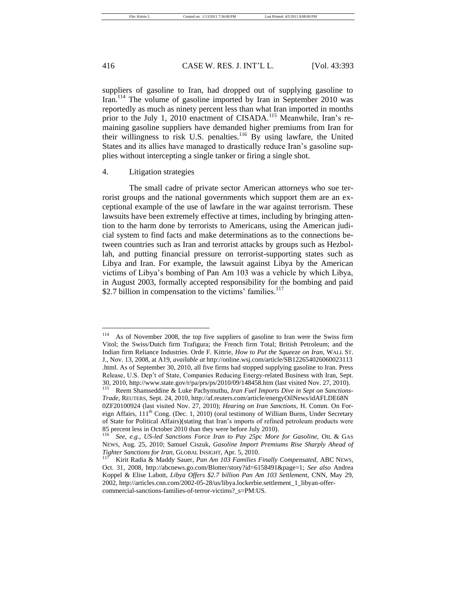suppliers of gasoline to Iran, had dropped out of supplying gasoline to Iran.<sup>114</sup> The volume of gasoline imported by Iran in September 2010 was reportedly as much as ninety percent less than what Iran imported in months prior to the July 1, 2010 enactment of CISADA.<sup>115</sup> Meanwhile, Iran's remaining gasoline suppliers have demanded higher premiums from Iran for their willingness to risk U.S. penalties.<sup>116</sup> By using lawfare, the United States and its allies have managed to drastically reduce Iran's gasoline supplies without intercepting a single tanker or firing a single shot.

# 4. Litigation strategies

The small cadre of private sector American attorneys who sue terrorist groups and the national governments which support them are an exceptional example of the use of lawfare in the war against terrorism. These lawsuits have been extremely effective at times, including by bringing attention to the harm done by terrorists to Americans, using the American judicial system to find facts and make determinations as to the connections between countries such as Iran and terrorist attacks by groups such as Hezbollah, and putting financial pressure on terrorist-supporting states such as Libya and Iran. For example, the lawsuit against Libya by the American victims of Libya's bombing of Pan Am 103 was a vehicle by which Libya, in August 2003, formally accepted responsibility for the bombing and paid \$2.7 billion in compensation to the victims' families. $117$ 

<sup>&</sup>lt;sup>114</sup> As of November 2008, the top five suppliers of gasoline to Iran were the Swiss firm Vitol; the Swiss/Dutch firm Trafigura; the French firm Total; British Petroleum; and the Indian firm Reliance Industries. Orde F. Kittrie, *How to Put the Squeeze on Iran*, WALL ST. J., Nov. 13, 2008, at A19, *available at* http://online.wsj.com/article/SB122654026060023113 .html. As of September 30, 2010, all five firms had stopped supplying gasoline to Iran. Press Release, U.S. Dep't of State, Companies Reducing Energy-related Business with Iran, Sept. 30, 2010, http://www.state.gov/r/pa/prs/ps/2010/09/148458.htm (last visited Nov. 27, 2010).<br> $\frac{115}{115}$  Beem Shamseddine & Luke Bachymuthu, *Iran Eyel Imports Dive in Sent on Sanctions*.

Reem Shamseddine & Luke Pachymuthu, *Iran Fuel Imports Dive in Sept on Sanctions-Trade,* REUTERS, Sept. 24, 2010, http://af.reuters.com/article/energyOilNews/idAFLDE68N 0ZF20100924 (last visited Nov. 27, 2010); *Hearing on Iran Sanctions*, H. Comm. On Foreign Affairs, 111<sup>th</sup> Cong. (Dec. 1, 2010) (oral testimony of William Burns, Under Secretary of State for Political Affairs)(stating that Iran's imports of refined petroleum products were 85 percent less in October 2010 than they were before July 2010).

See, e.g., *US-led Sanctions Force Iran to Pay 25pc More for Gasoline*, OIL & GAS NEWS, Aug. 25, 2010; Samuel Ciszuk, *Gasoline Import Premiums Rise Sharply Ahead of Tighter Sanctions for Iran,* GLOBAL INSIGHT, Apr. 5, 2010.

<sup>117</sup> Kirit Radia & Maddy Sauer, *Pan Am 103 Families Finally Compensated,* ABC NEWS, Oct. 31, 2008, http://abcnews.go.com/Blotter/story?id=6158491&page=1; *See also* Andrea Koppel & Elise Labott, *Libya Offers \$2.7 billion Pan Am 103 Settlement*, CNN, May 29, 2002, http://articles.cnn.com/2002-05-28/us/libya.lockerbie.settlement\_1\_libyan-offercommercial-sanctions-families-of-terror-victims?\_s=PM:US.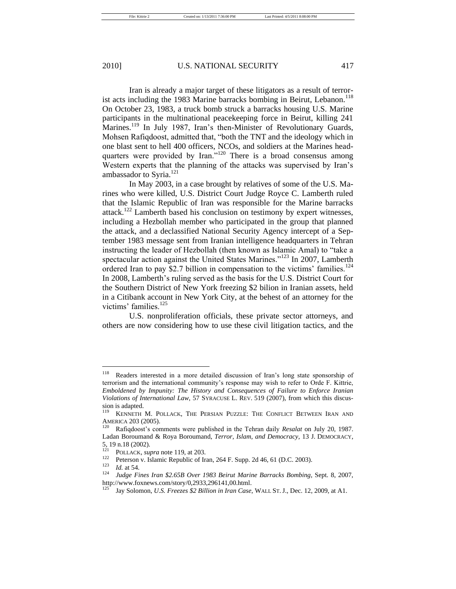Iran is already a major target of these litigators as a result of terrorist acts including the 1983 Marine barracks bombing in Beirut, Lebanon.<sup>118</sup> On October 23, 1983, a truck bomb struck a barracks housing U.S. Marine participants in the multinational peacekeeping force in Beirut, killing 241 Marines.<sup>119</sup> In July 1987, Iran's then-Minister of Revolutionary Guards,

Mohsen Rafiqdoost, admitted that, "both the TNT and the ideology which in one blast sent to hell 400 officers, NCOs, and soldiers at the Marines headquarters were provided by Iran." $120$  There is a broad consensus among Western experts that the planning of the attacks was supervised by Iran's ambassador to Syria.<sup>121</sup>

In May 2003, in a case brought by relatives of some of the U.S. Marines who were killed, U.S. District Court Judge Royce C. Lamberth ruled that the Islamic Republic of Iran was responsible for the Marine barracks attack.<sup>122</sup> Lamberth based his conclusion on testimony by expert witnesses, including a Hezbollah member who participated in the group that planned the attack, and a declassified National Security Agency intercept of a September 1983 message sent from Iranian intelligence headquarters in Tehran instructing the leader of Hezbollah (then known as Islamic Amal) to "take a spectacular action against the United States Marines."<sup>123</sup> In 2007, Lamberth ordered Iran to pay \$2.7 billion in compensation to the victims' families.<sup>124</sup> In 2008, Lamberth's ruling served as the basis for the U.S. District Court for the Southern District of New York freezing \$2 bilion in Iranian assets, held in a Citibank account in New York City, at the behest of an attorney for the victims' families.<sup>125</sup>

U.S. nonproliferation officials, these private sector attorneys, and others are now considering how to use these civil litigation tactics, and the

<sup>118</sup> Readers interested in a more detailed discussion of Iran's long state sponsorship of terrorism and the international community's response may wish to refer to Orde F. Kittrie, *Emboldened by Impunity: The History and Consequences of Failure to Enforce Iranian Violations of International Law*, 57 SYRACUSE L. REV. 519 (2007), from which this discussion is adapted.

KENNETH M. POLLACK, THE PERSIAN PUZZLE: THE CONFLICT BETWEEN IRAN AND AMERICA  $203$  (2005).<br> $^{120}$  Rafiadoost's con

<sup>120</sup> Rafiqdoost's comments were published in the Tehran daily *Resalat* on July 20, 1987. Ladan Boroumand & Roya Boroumand, *Terror, Islam, and Democracy*, 13 J. DEMOCRACY,  $5, 19$  n.18 (2002).

<sup>&</sup>lt;sup>121</sup> POLLACK, *supra* note 119, at 203.

<sup>&</sup>lt;sup>122</sup> Peterson v. Islamic Republic of Iran, 264 F. Supp. 2d 46, 61 (D.C. 2003).

 $\frac{123}{124}$  *Id.* at 54.

<sup>124</sup> *Judge Fines Iran \$2.65B Over 1983 Beirut Marine Barracks Bombing*, Sept. 8, 2007, http://www.foxnews.com/story/0,2933,296141,00.html.

<sup>125</sup> Jay Solomon, *U.S. Freezes \$2 Billion in Iran Case*, WALL ST. J., Dec. 12, 2009, at A1.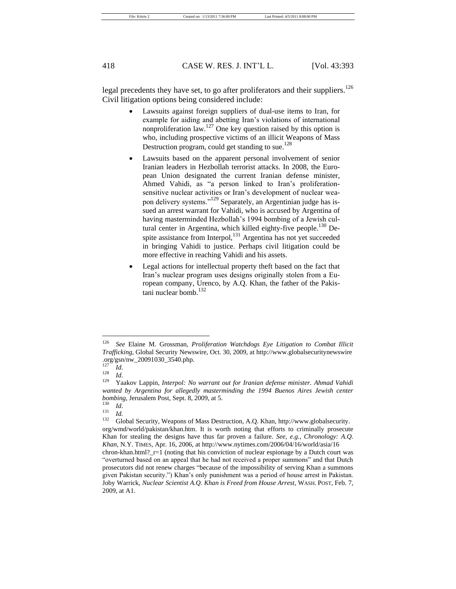legal precedents they have set, to go after proliferators and their suppliers.<sup>126</sup> Civil litigation options being considered include:

- Lawsuits against foreign suppliers of dual-use items to Iran, for example for aiding and abetting Iran's violations of international nonproliferation law.<sup>127</sup> One key question raised by this option is who, including prospective victims of an illicit Weapons of Mass Destruction program, could get standing to sue.<sup>128</sup>
- Lawsuits based on the apparent personal involvement of senior Iranian leaders in Hezbollah terrorist attacks. In 2008, the European Union designated the current Iranian defense minister, Ahmed Vahidi, as "a person linked to Iran's proliferationsensitive nuclear activities or Iran's development of nuclear weapon delivery systems."<sup>129</sup> Separately, an Argentinian judge has issued an arrest warrant for Vahidi, who is accused by Argentina of having masterminded Hezbollah's 1994 bombing of a Jewish cultural center in Argentina, which killed eighty-five people.<sup>130</sup> Despite assistance from Interpol,<sup>131</sup> Argentina has not yet succeeded in bringing Vahidi to justice. Perhaps civil litigation could be more effective in reaching Vahidi and his assets.
- Legal actions for intellectual property theft based on the fact that Iran's nuclear program uses designs originally stolen from a European company, Urenco, by A.Q. Khan, the father of the Pakistani nuclear bomb.<sup>132</sup>

<sup>126</sup> *See* Elaine M. Grossman, *Proliferation Watchdogs Eye Litigation to Combat Illicit Trafficking*, Global Security Newswire, Oct. 30, 2009, at http://www.globalsecuritynewswire .org/gsn/nw\_20091030\_3540.php.

<sup>127</sup> *Id*.  $\frac{128}{129}$  *Id.* 

<sup>129</sup> Yaakov Lappin, *Interpol: No warrant out for Iranian defense minister. Ahmad Vahidi wanted by Argentina for allegedly masterminding the 1994 Buenos Aires Jewish center bombing*, Jerusalem Post, Sept. 8, 2009, at 5.

 $\frac{130}{131}$  *Id.* 

 $\frac{131}{132}$  *Id.* 

Global Security, Weapons of Mass Destruction, A.Q. Khan, http://www.globalsecurity. org/wmd/world/pakistan/khan.htm. It is worth noting that efforts to criminally prosecute Khan for stealing the designs have thus far proven a failure. *See, e.g.*, *Chronology: A.Q. Khan*, N.Y. TIMES, Apr. 16, 2006, at http://www.nytimes.com/2006/04/16/world/asia/16 chron-khan.html?\_r=1 (noting that his conviction of nuclear espionage by a Dutch court was ―overturned based on an appeal that he had not received a proper summons‖ and that Dutch prosecutors did not renew charges "because of the impossibility of serving Khan a summons given Pakistan security.") Khan's only punishment was a period of house arrest in Pakistan. Joby Warrick, *Nuclear Scientist A.Q. Khan is Freed from House Arrest*, WASH. POST, Feb. 7, 2009, at A1.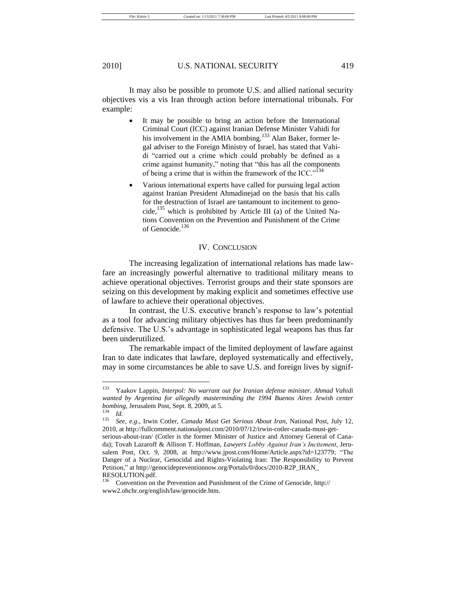It may also be possible to promote U.S. and allied national security objectives vis a vis Iran through action before international tribunals. For example:

- It may be possible to bring an action before the International Criminal Court (ICC) against Iranian Defense Minister Vahidi for his involvement in the AMIA bombing.<sup>133</sup> Alan Baker, former legal adviser to the Foreign Ministry of Israel, has stated that Vahidi "carried out a crime which could probably be defined as a crime against humanity," noting that "this has all the components" of being a crime that is within the framework of the ICC."<sup>134</sup>
- Various international experts have called for pursuing legal action against Iranian President Ahmadinejad on the basis that his calls for the destruction of Israel are tantamount to incitement to genocide,<sup>135</sup> which is prohibited by Article III (a) of the United Nations Convention on the Prevention and Punishment of the Crime of Genocide.<sup>136</sup>

# IV. CONCLUSION

The increasing legalization of international relations has made lawfare an increasingly powerful alternative to traditional military means to achieve operational objectives. Terrorist groups and their state sponsors are seizing on this development by making explicit and sometimes effective use of lawfare to achieve their operational objectives.

In contrast, the U.S. executive branch's response to law's potential as a tool for advancing military objectives has thus far been predominantly defensive. The U.S.'s advantage in sophisticated legal weapons has thus far been underutilized.

The remarkable impact of the limited deployment of lawfare against Iran to date indicates that lawfare, deployed systematically and effectively, may in some circumstances be able to save U.S. and foreign lives by signif-

<sup>133</sup> Yaakov Lappin, *Interpol: No warrant out for Iranian defense minister. Ahmad Vahidi wanted by Argentina for allegedly masterminding the 1994 Buenos Aires Jewish center bombing*, Jerusalem Post, Sept. 8, 2009, at 5.

 $\frac{134}{135}$  *Id.* 

<sup>135</sup> *See, e.g.*, Irwin Cotler, *Canada Must Get Serious About Iran*, National Post, July 12, 2010, at http://fullcomment.nationalpost.com/2010/07/12/irwin-cotler-canada-must-get-

serious-about-iran/ (Cotler is the former Minister of Justice and Attorney General of Canada); Tovah Lazaroff & Allison T. Hoffman, *Lawyers Lobby Against Iran's Incitement*, Jerusalem Post, Oct. 9, 2008, at http://www.jpost.com/Home/Article.aspx?id=123779; "The Danger of a Nuclear, Genocidal and Rights-Violating Iran: The Responsibility to Prevent Petition," at http://genocidepreventionnow.org/Portals/0/docs/2010-R2P\_IRAN RESOLUTION.pdf.

<sup>136</sup> Convention on the Prevention and Punishment of the Crime of Genocide, http:// www2.ohchr.org/english/law/genocide.htm.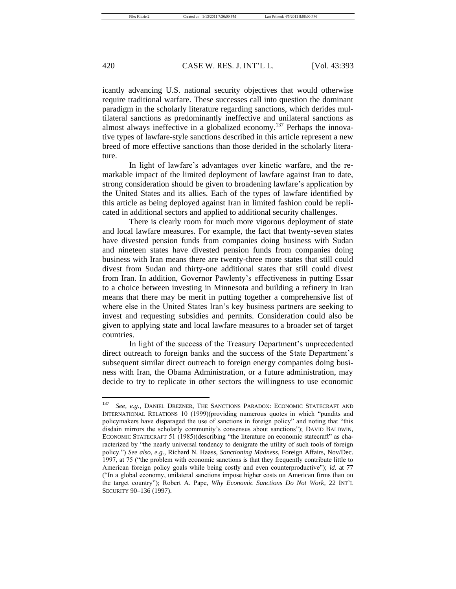icantly advancing U.S. national security objectives that would otherwise require traditional warfare. These successes call into question the dominant paradigm in the scholarly literature regarding sanctions, which derides multilateral sanctions as predominantly ineffective and unilateral sanctions as almost always ineffective in a globalized economy.<sup>137</sup> Perhaps the innovative types of lawfare-style sanctions described in this article represent a new breed of more effective sanctions than those derided in the scholarly literature.

In light of lawfare's advantages over kinetic warfare, and the remarkable impact of the limited deployment of lawfare against Iran to date, strong consideration should be given to broadening lawfare's application by the United States and its allies. Each of the types of lawfare identified by this article as being deployed against Iran in limited fashion could be replicated in additional sectors and applied to additional security challenges.

There is clearly room for much more vigorous deployment of state and local lawfare measures. For example, the fact that twenty-seven states have divested pension funds from companies doing business with Sudan and nineteen states have divested pension funds from companies doing business with Iran means there are twenty-three more states that still could divest from Sudan and thirty-one additional states that still could divest from Iran. In addition, Governor Pawlenty's effectiveness in putting Essar to a choice between investing in Minnesota and building a refinery in Iran means that there may be merit in putting together a comprehensive list of where else in the United States Iran's key business partners are seeking to invest and requesting subsidies and permits. Consideration could also be given to applying state and local lawfare measures to a broader set of target countries.

In light of the success of the Treasury Department's unprecedented direct outreach to foreign banks and the success of the State Department's subsequent similar direct outreach to foreign energy companies doing business with Iran, the Obama Administration, or a future administration, may decide to try to replicate in other sectors the willingness to use economic

<sup>137</sup> *See, e.g.*, DANIEL DREZNER, THE SANCTIONS PARADOX: ECONOMIC STATECRAFT AND INTERNATIONAL RELATIONS 10 (1999)(providing numerous quotes in which "pundits and policymakers have disparaged the use of sanctions in foreign policy" and noting that "this disdain mirrors the scholarly community's consensus about sanctions"); DAVID BALDWIN, ECONOMIC STATECRAFT 51 (1985)(describing "the literature on economic statecraft" as characterized by "the nearly universal tendency to denigrate the utility of such tools of foreign policy.‖) *See also, e.g.*, Richard N. Haass, *Sanctioning Madness*, Foreign Affairs, Nov/Dec. 1997, at 75 ("the problem with economic sanctions is that they frequently contribute little to American foreign policy goals while being costly and even counterproductive"); *id.* at 77 (―In a global economy, unilateral sanctions impose higher costs on American firms than on the target country‖); Robert A. Pape, *Why Economic Sanctions Do Not Work*, 22 INT'L SECURITY 90–136 (1997).